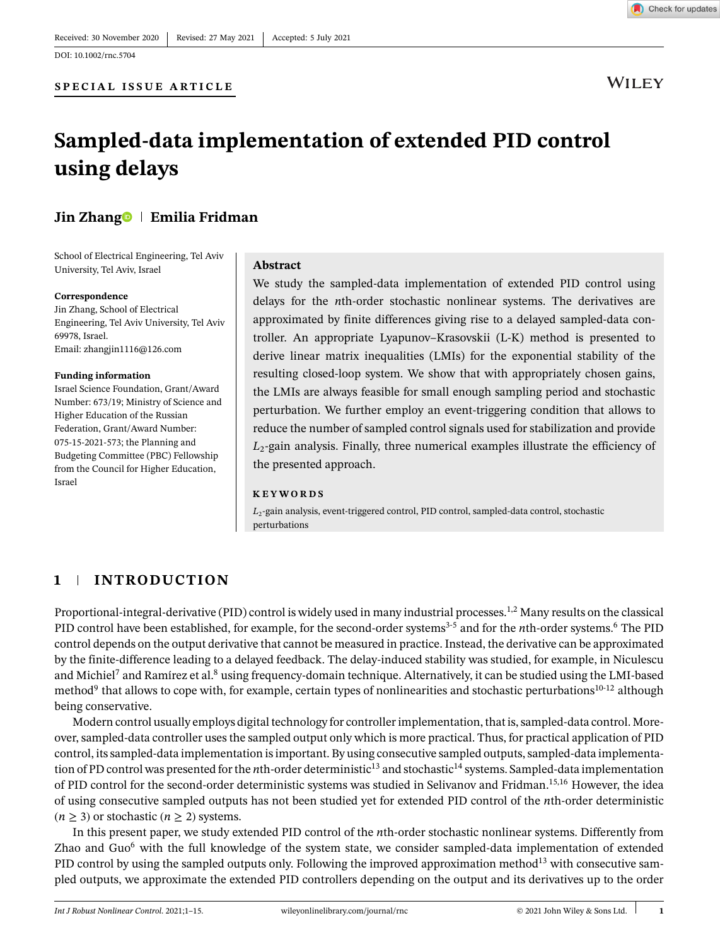**WILEY** 

# **Sampled-data implementation of extended PID control using delays**

# **Jin Zhan[g](https://orcid.org/0000-0002-6043-309X)<sup>®</sup> | Emilia Fridman**

School of Electrical Engineering, Tel Aviv University, Tel Aviv, Israel

**SPECIAL ISSUE ARTICLE**

### **Correspondence**

Jin Zhang, School of Electrical Engineering, Tel Aviv University, Tel Aviv 69978, Israel. Email: zhangjin1116@126.com

### **Funding information**

Israel Science Foundation, Grant/Award Number: 673/19; Ministry of Science and Higher Education of the Russian Federation, Grant/Award Number: 075-15-2021-573; the Planning and Budgeting Committee (PBC) Fellowship from the Council for Higher Education, Israel

### **Abstract**

We study the sampled-data implementation of extended PID control using delays for the *n*th-order stochastic nonlinear systems. The derivatives are approximated by finite differences giving rise to a delayed sampled-data controller. An appropriate Lyapunov–Krasovskii (L-K) method is presented to derive linear matrix inequalities (LMIs) for the exponential stability of the resulting closed-loop system. We show that with appropriately chosen gains, the LMIs are always feasible for small enough sampling period and stochastic perturbation. We further employ an event-triggering condition that allows to reduce the number of sampled control signals used for stabilization and provide *L*2-gain analysis. Finally, three numerical examples illustrate the efficiency of the presented approach.

### **KEYWORDS**

 $L<sub>2</sub>$ -gain analysis, event-triggered control, PID control, sampled-data control, stochastic perturbations

# **1 INTRODUCTION**

Proportional-integral-derivative (PID) control is widely used in many industrial processes.<sup>1,2</sup> Many results on the classical PID control have been established, for example, for the second-order systems3-5 and for the *n*th-order systems.6 The PID control depends on the output derivative that cannot be measured in practice. Instead, the derivative can be approximated by the finite-difference leading to a delayed feedback. The delay-induced stability was studied, for example, in Niculescu and Michiel<sup>7</sup> and Ramírez et al.<sup>8</sup> using frequency-domain technique. Alternatively, it can be studied using the LMI-based method<sup>9</sup> that allows to cope with, for example, certain types of nonlinearities and stochastic perturbations<sup>10-12</sup> although being conservative.

Modern control usually employs digital technology for controller implementation, that is, sampled-data control. Moreover, sampled-data controller uses the sampled output only which is more practical. Thus, for practical application of PID control, its sampled-data implementation is important. By using consecutive sampled outputs, sampled-data implementation of PD control was presented for the *n*th-order deterministic<sup>13</sup> and stochastic<sup>14</sup> systems. Sampled-data implementation of PID control for the second-order deterministic systems was studied in Selivanov and Fridman.<sup>15,16</sup> However, the idea of using consecutive sampled outputs has not been studied yet for extended PID control of the *n*th-order deterministic  $(n \geq 3)$  or stochastic  $(n \geq 2)$  systems.

In this present paper, we study extended PID control of the *n*th-order stochastic nonlinear systems. Differently from Zhao and Guo<sup>6</sup> with the full knowledge of the system state, we consider sampled-data implementation of extended PID control by using the sampled outputs only. Following the improved approximation method<sup>13</sup> with consecutive sampled outputs, we approximate the extended PID controllers depending on the output and its derivatives up to the order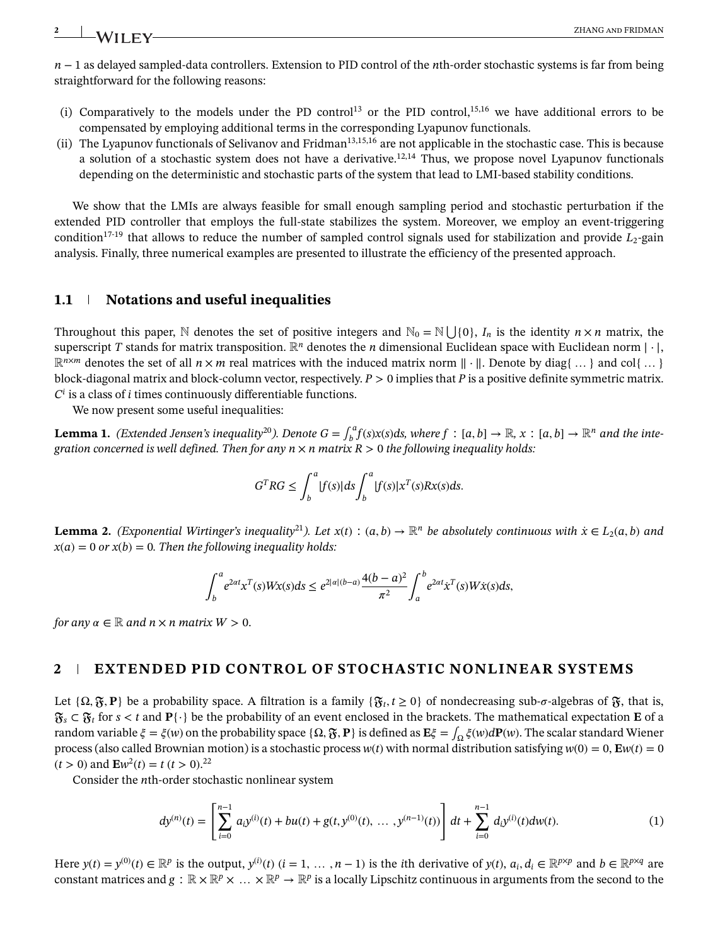*n* − 1 as delayed sampled-data controllers. Extension to PID control of the *n*th-order stochastic systems is far from being straightforward for the following reasons:

- (i) Comparatively to the models under the PD control<sup>13</sup> or the PID control,<sup>15,16</sup> we have additional errors to be compensated by employing additional terms in the corresponding Lyapunov functionals.
- (ii) The Lyapunov functionals of Selivanov and Fridman<sup>13,15,16</sup> are not applicable in the stochastic case. This is because a solution of a stochastic system does not have a derivative.12,14 Thus, we propose novel Lyapunov functionals depending on the deterministic and stochastic parts of the system that lead to LMI-based stability conditions.

We show that the LMIs are always feasible for small enough sampling period and stochastic perturbation if the extended PID controller that employs the full-state stabilizes the system. Moreover, we employ an event-triggering condition<sup>17-19</sup> that allows to reduce the number of sampled control signals used for stabilization and provide  $L_2$ -gain analysis. Finally, three numerical examples are presented to illustrate the efficiency of the presented approach.

# **1.1 Notations and useful inequalities**

Throughout this paper, N denotes the set of positive integers and  $\mathbb{N}_0 = \mathbb{N} \bigcup \{0\}$ , *I<sub>n</sub>* is the identity  $n \times n$  matrix, the superscript *T* stands for matrix transposition.  $\mathbb{R}^n$  denotes the *n* dimensional Euclidean space with Euclidean norm |  $\cdot$  |,  $\mathbb{R}^{n \times m}$  denotes the set of all  $n \times m$  real matrices with the induced matrix norm  $\|\cdot\|$ . Denote by diag{...} and col{...} block-diagonal matrix and block-column vector, respectively. *P >* 0 implies that *P* is a positive definite symmetric matrix.  $C^i$  is a class of *i* times continuously differentiable functions.

We now present some useful inequalities:

**Lemma 1.** (Extended Jensen's inequality<sup>20</sup>). Denote  $G = \int_b^a f(s)x(s)ds$ , where  $f : [a, b] \to \mathbb{R}$ ,  $x : [a, b] \to \mathbb{R}^n$  and the inte*gration concerned is well defined. Then for any*  $n \times n$  *matrix*  $R > 0$  *the following inequality holds:* 

$$
G^T RG \leq \int_b^a |f(s)| ds \int_b^a |f(s)| x^T(s) R x(s) ds.
$$

**Lemma 2.** (Exponential Wirtinger's inequality<sup>21</sup>). Let  $x(t)$ :  $(a, b) \to \mathbb{R}^n$  be absolutely continuous with  $\dot{x} \in L_2(a, b)$  and  $x(a) = 0$  *or*  $x(b) = 0$ *. Then the following inequality holds:* 

$$
\int_{b}^{a} e^{2\alpha t} x^{T}(s) W x(s) ds \le e^{2|\alpha|(b-a)} \frac{4(b-a)^{2}}{\pi^{2}} \int_{a}^{b} e^{2\alpha t} x^{T}(s) W \dot{x}(s) ds,
$$

*for any*  $\alpha \in \mathbb{R}$  *and*  $n \times n$  *matrix*  $W > 0$ .

# **2 EXTENDED PID CONTROL OF STOCHASTIC NONLINEAR SYSTEMS**

Let  $\{\Omega, \mathfrak{F}, \mathbf{P}\}\)$  be a probability space. A filtration is a family  $\{\mathfrak{F}_t, t \geq 0\}$  of nondecreasing sub- $\sigma$ -algebras of  $\mathfrak{F}$ , that is, *<sup>s</sup> ⊂ <sup>t</sup>* for *s < t* and **P**{⋅} be the probability of an event enclosed in the brackets. The mathematical expectation **E** of a random variable  $\xi = \xi(w)$  on the probability space { $\Omega$ ,  $\mathfrak{F}$ ,  $P$ } is defined as  $E\xi = \int_{\Omega} \xi(w) dP(w)$ . The scalar standard Wiener process (also called Brownian motion) is a stochastic process  $w(t)$  with normal distribution satisfying  $w(0) = 0$ ,  $E w(t) = 0$  $(t > 0)$  and  $\mathbf{E}w^2(t) = t (t > 0).^{22}$ 

Consider the *n*th-order stochastic nonlinear system

$$
dy^{(n)}(t) = \left[\sum_{i=0}^{n-1} a_i y^{(i)}(t) + bu(t) + g(t, y^{(0)}(t), \dots, y^{(n-1)}(t))\right] dt + \sum_{i=0}^{n-1} d_i y^{(i)}(t) dw(t).
$$
 (1)

Here  $y(t) = y^{(0)}(t) \in \mathbb{R}^p$  is the output,  $y^{(i)}(t)$   $(i = 1, ..., n - 1)$  is the *i*th derivative of  $y(t)$ ,  $a_i, d_i \in \mathbb{R}^{p \times p}$  and  $b \in \mathbb{R}^{p \times q}$  are constant matrices and  $g : \mathbb{R} \times \mathbb{R}^p \times \ldots \times \mathbb{R}^p \to \mathbb{R}^p$  is a locally Lipschitz continuous in arguments from the second to the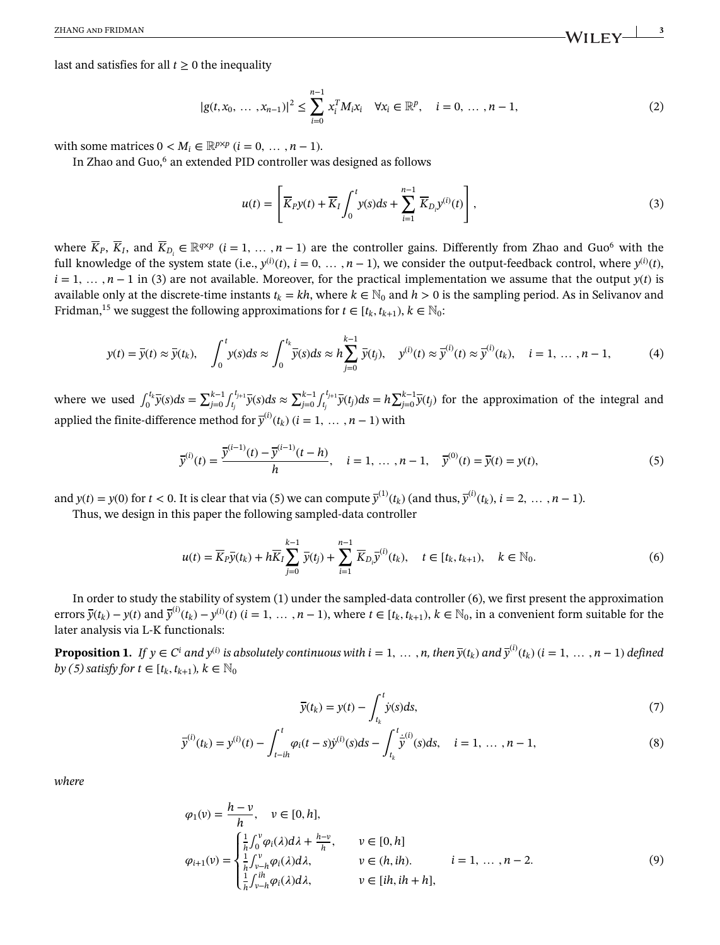last and satisfies for all  $t \geq 0$  the inequality

$$
|g(t, x_0, \ldots, x_{n-1})|^2 \le \sum_{i=0}^{n-1} x_i^T M_i x_i \quad \forall x_i \in \mathbb{R}^p, \quad i = 0, \ldots, n-1,
$$
 (2)

with some matrices  $0 < M_i \in \mathbb{R}^{p \times p}$  ( $i = 0, \ldots, n-1$ ).

In Zhao and Guo,<sup>6</sup> an extended PID controller was designed as follows

$$
u(t) = \left[ \overline{K}_P y(t) + \overline{K}_I \int_0^t y(s) ds + \sum_{i=1}^{n-1} \overline{K}_{D_i} y^{(i)}(t) \right],
$$
 (3)

where  $\overline{K}_P$ ,  $\overline{K}_I$ , and  $\overline{K}_{D_i} \in \mathbb{R}^{q \times p}$  (*i* = 1, ..., *n* − 1) are the controller gains. Differently from Zhao and Guo<sup>6</sup> with the full knowledge of the system state (i.e.,  $y^{(i)}(t)$ ,  $i = 0, ..., n-1$ ), we consider the output-feedback control, where  $y^{(i)}(t)$ ,  $i = 1, \ldots, n-1$  in (3) are not available. Moreover, for the practical implementation we assume that the output  $y(t)$  is available only at the discrete-time instants  $t_k = kh$ , where  $k \in \mathbb{N}_0$  and  $h > 0$  is the sampling period. As in Selivanov and Fridman,<sup>15</sup> we suggest the following approximations for  $t \in [t_k, t_{k+1}), k \in \mathbb{N}_0$ :

$$
y(t) = \bar{y}(t) \approx \bar{y}(t_k), \quad \int_0^t y(s)ds \approx \int_0^{t_k} \bar{y}(s)ds \approx h \sum_{j=0}^{k-1} \bar{y}(t_j), \quad y^{(i)}(t) \approx \bar{y}^{(i)}(t) \approx \bar{y}^{(i)}(t_k), \quad i = 1, ..., n-1,
$$
 (4)

where we used  $\int_0^{t_k} \overline{y}(s) ds = \sum_{j=0}^{k-1} \int_{t_j}^{t_{j+1}} \overline{y}(s) ds \approx \sum_{j=0}^{k-1} \int_{t_j}^{t_{j+1}} \overline{y}(t_j) ds = h \sum_{j=0}^{k-1} \overline{y}(t_j)$  for the approximation of the integral and applied the finite-difference method for  $\overline{y}^{(i)}(t_k)$  ( $i = 1, ..., n - 1$ ) with

$$
\overline{y}^{(i)}(t) = \frac{\overline{y}^{(i-1)}(t) - \overline{y}^{(i-1)}(t - h)}{h}, \quad i = 1, ..., n - 1, \quad \overline{y}^{(0)}(t) = \overline{y}(t) = y(t),
$$
\n(5)

and  $y(t) = y(0)$  for  $t < 0$ . It is clear that via (5) we can compute  $\overline{y}^{(1)}(t_k)$  (and thus,  $\overline{y}^{(i)}(t_k)$ ,  $i = 2, \ldots, n - 1$ ).

Thus, we design in this paper the following sampled-data controller

$$
u(t) = \overline{K}_{P}\overline{y}(t_{k}) + h\overline{K}_{I} \sum_{j=0}^{k-1} \overline{y}(t_{j}) + \sum_{i=1}^{n-1} \overline{K}_{D_{i}}\overline{y}^{(i)}(t_{k}), \quad t \in [t_{k}, t_{k+1}), \quad k \in \mathbb{N}_{0}.
$$
 (6)

In order to study the stability of system (1) under the sampled-data controller (6), we first present the approximation errors  $\bar{y}(t_k) - y(t)$  and  $\bar{y}^{(i)}(t_k) - y^{(i)}(t)$   $(i = 1, ..., n - 1)$ , where  $t \in [t_k, t_{k+1}), k \in \mathbb{N}_0$ , in a convenient form suitable for the later analysis via L-K functionals:

**Proposition 1.** If  $y \in C^i$  and  $y^{(i)}$  is absolutely continuous with  $i = 1, ..., n$ , then  $\overline{y}(t_k)$  and  $\overline{y}^{(i)}(t_k)$   $(i = 1, ..., n-1)$  defined *by* (5) satisfy for  $t \in [t_k, t_{k+1})$ ,  $k \in \mathbb{N}_0$ 

$$
\bar{y}(t_k) = y(t) - \int_{t_k}^t \dot{y}(s)ds,\tag{7}
$$

$$
\overline{y}^{(i)}(t_k) = y^{(i)}(t) - \int_{t-ih}^t \varphi_i(t-s) \dot{y}^{(i)}(s) ds - \int_{t_k}^t \dot{y}^{(i)}(s) ds, \quad i = 1, ..., n-1,
$$
\n(8)

*where*

$$
\varphi_1(v) = \frac{h - v}{h}, \quad v \in [0, h],
$$
  
\n
$$
\varphi_{i+1}(v) = \begin{cases}\n\frac{1}{h} \int_0^v \varphi_i(\lambda) d\lambda + \frac{h - v}{h}, & v \in [0, h] \\
\frac{1}{h} \int_{v - h}^v \varphi_i(\lambda) d\lambda, & v \in (h, ih). & i = 1, ..., n - 2. \\
\frac{1}{h} \int_{v - h}^{ih} \varphi_i(\lambda) d\lambda, & v \in [ih, ih + h],\n\end{cases}
$$
\n(9)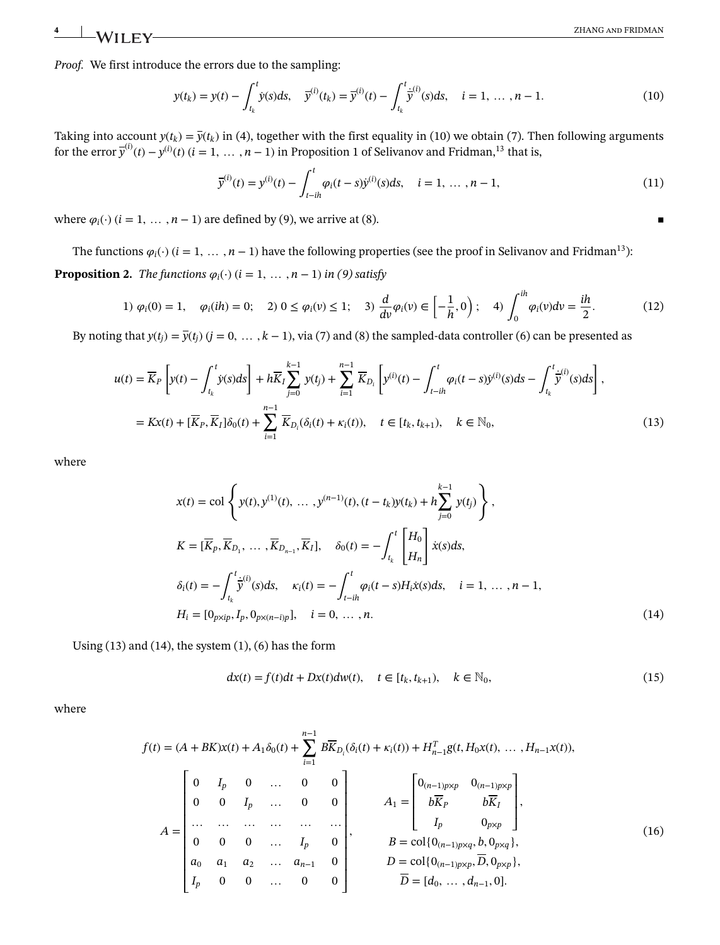*Proof.* We first introduce the errors due to the sampling:

$$
y(t_k) = y(t) - \int_{t_k}^t \dot{y}(s)ds, \quad \bar{y}^{(i)}(t_k) = \bar{y}^{(i)}(t) - \int_{t_k}^t \dot{\bar{y}}^{(i)}(s)ds, \quad i = 1, ..., n-1.
$$
 (10)

Taking into account  $y(t_k) = \overline{y}(t_k)$  in (4), together with the first equality in (10) we obtain (7). Then following arguments for the error  $\bar{y}^{(i)}(t) - y^{(i)}(t)$   $(i = 1, \ldots, n-1)$  in Proposition 1 of Selivanov and Fridman,<sup>13</sup> that is,

$$
\overline{y}^{(i)}(t) = y^{(i)}(t) - \int_{t-ih}^{t} \varphi_i(t-s) \dot{y}^{(i)}(s) ds, \quad i = 1, ..., n-1,
$$
\n(11)

where  $\varphi_i(\cdot)$  ( $i = 1, \ldots, n - 1$ ) are defined by (9), we arrive at (8).

The functions  $\varphi_i(\cdot)$  ( $i = 1, \ldots, n - 1$ ) have the following properties (see the proof in Selivanov and Fridman<sup>13</sup>):

**Proposition 2.** *The functions*  $\varphi_i(\cdot)$  ( $i = 1, ..., n - 1$ ) *in* (9) satisfy

1) 
$$
\varphi_i(0) = 1
$$
,  $\varphi_i(ih) = 0$ ; 2)  $0 \le \varphi_i(v) \le 1$ ; 3)  $\frac{d}{dv}\varphi_i(v) \in \left[-\frac{1}{h}, 0\right)$ ; 4)  $\int_0^{ih} \varphi_i(v) dv = \frac{ih}{2}$ . (12)

By noting that  $y(t_i) = \overline{y}(t_i)$  ( $j = 0, \ldots, k - 1$ ), via (7) and (8) the sampled-data controller (6) can be presented as

$$
u(t) = \overline{K}_P \left[ y(t) - \int_{t_k}^t \dot{y}(s) ds \right] + h \overline{K}_I \sum_{j=0}^{k-1} y(t_j) + \sum_{i=1}^{n-1} \overline{K}_{D_i} \left[ y^{(i)}(t) - \int_{t-ih}^t \varphi_i(t-s) \dot{y}^{(i)}(s) ds - \int_{t_k}^t \dot{y}^{(i)}(s) ds \right],
$$
  

$$
= Kx(t) + [\overline{K}_P, \overline{K}_I] \delta_0(t) + \sum_{i=1}^{n-1} \overline{K}_{D_i} (\delta_i(t) + \kappa_i(t)), \quad t \in [t_k, t_{k+1}), \quad k \in \mathbb{N}_0,
$$
 (13)

where

$$
x(t) = \text{col}\left\{y(t), y^{(1)}(t), \dots, y^{(n-1)}(t), (t - t_k)y(t_k) + h\sum_{j=0}^{k-1} y(t_j)\right\},
$$
  
\n
$$
K = [\overline{K}_p, \overline{K}_{D_1}, \dots, \overline{K}_{D_{n-1}}, \overline{K}_I], \quad \delta_0(t) = -\int_{t_k}^t \begin{bmatrix} H_0 \\ H_n \end{bmatrix} \dot{x}(s)ds,
$$
  
\n
$$
\delta_i(t) = -\int_{t_k}^t \dot{y}^{(i)}(s)ds, \quad \kappa_i(t) = -\int_{t-ih}^t \varphi_i(t - s)H_i\dot{x}(s)ds, \quad i = 1, \dots, n-1,
$$
  
\n
$$
H_i = [0_{p \times ip}, I_p, 0_{p \times (n-i)p}], \quad i = 0, \dots, n.
$$
\n(14)

Using  $(13)$  and  $(14)$ , the system  $(1)$ ,  $(6)$  has the form

$$
dx(t) = f(t)dt + Dx(t)dw(t), \quad t \in [t_k, t_{k+1}), \quad k \in \mathbb{N}_0,
$$
\n(15)

where

$$
f(t) = (A + BK)x(t) + A_1\delta_0(t) + \sum_{i=1}^{n-1} B\overline{K}_{D_i}(\delta_i(t) + \kappa_i(t)) + H_{n-1}^T g(t, H_0x(t), ..., H_{n-1}x(t)),
$$
  
\n
$$
A = \begin{bmatrix} 0 & I_p & 0 & \dots & 0 & 0 \\ 0 & 0 & I_p & \dots & 0 & 0 \\ \dots & \dots & \dots & \dots & \dots & \dots \\ 0 & 0 & 0 & \dots & I_p & 0 \\ 0 & 0 & 0 & \dots & I_p & 0 \\ a_0 & a_1 & a_2 & \dots & a_{n-1} & 0 \\ I_p & 0 & 0 & \dots & 0 & 0 \end{bmatrix}, \qquad A_1 = \begin{bmatrix} 0_{(n-1)p\times p} & 0_{(n-1)p\times p} \\ b\overline{K}_p & b\overline{K}_I \\ I_p & 0_{p\times p} \\ B = col\{0_{(n-1)p\times q}, b, 0_{p\times q}\}, \\ D = col\{0_{(n-1)p\times p}, \overline{D}, 0_{p\times p}\}, \\ \overline{D} = [d_0, ..., d_{n-1}, 0]. \end{bmatrix}, \qquad (16)
$$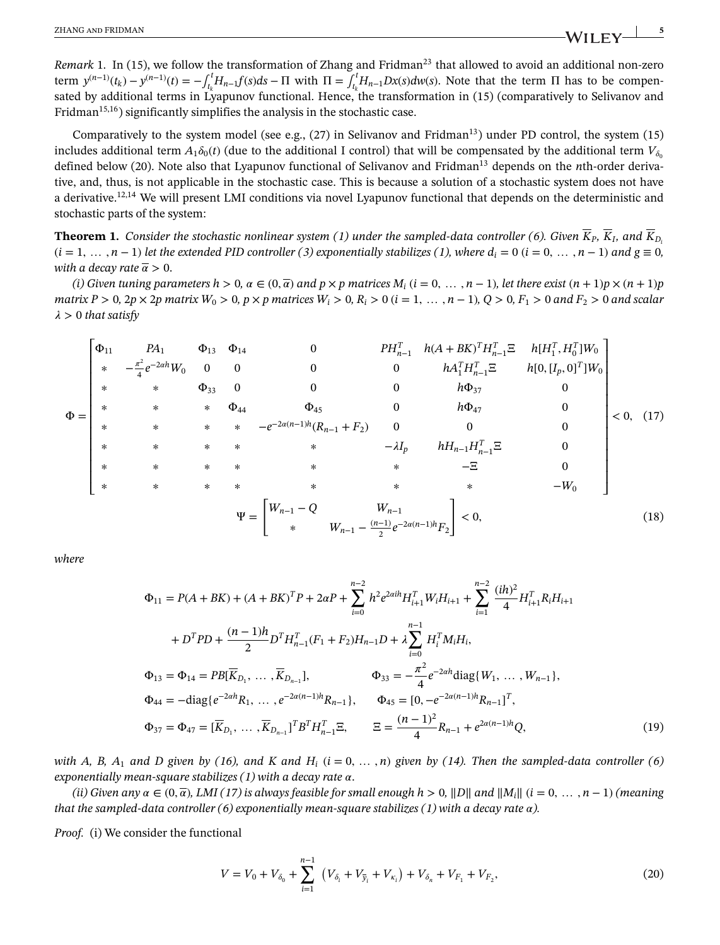*Remark* 1. In (15), we follow the transformation of Zhang and Fridman<sup>23</sup> that allowed to avoid an additional non-zero term  $y^{(n-1)}(t_k) - y^{(n-1)}(t) = -\int_{t_k}^t H_{n-1}f(s)ds - \Pi$  with  $\Pi = \int_{t_k}^t H_{n-1}Dx(s)dw(s)$ . Note that the term  $\Pi$  has to be compensated by additional terms in Lyapunov functional. Hence, the transformation in (15) (comparatively to Selivanov and Fridman<sup>15,16</sup>) significantly simplifies the analysis in the stochastic case.

Comparatively to the system model (see e.g.,  $(27)$  in Selivanov and Fridman<sup>13</sup>) under PD control, the system  $(15)$ includes additional term  $A_1\delta_0(t)$  (due to the additional I control) that will be compensated by the additional term  $V_{\delta_0}$ defined below (20). Note also that Lyapunov functional of Selivanov and Fridman13 depends on the *n*th-order derivative, and, thus, is not applicable in the stochastic case. This is because a solution of a stochastic system does not have a derivative.<sup>12,14</sup> We will present LMI conditions via novel Lyapunov functional that depends on the deterministic and stochastic parts of the system:

**Theorem 1.** *Consider the stochastic nonlinear system (1) under the sampled-data controller (6). Given*  $\overline{K}_P$ ,  $\overline{K}_I$ , and  $\overline{K}_{D}$  $(i = 1, \ldots, n-1)$  *let the extended PID controller* (3) exponentially stabilizes (1), where  $d_i = 0$  ( $i = 0, \ldots, n-1$ ) and  $g \equiv 0$ , *with a decay rate*  $\bar{\alpha} > 0$ .

(i) Given tuning parameters  $h > 0$ ,  $\alpha \in (0, \overline{\alpha})$  and  $p \times p$  matrices  $M_i$  ( $i = 0, \ldots, n-1$ ), let there exist  $(n+1)p \times (n+1)p$ matrix  $P > 0$ ,  $2p \times 2p$  matrix  $W_0 > 0$ ,  $p \times p$  matrices  $W_i > 0$ ,  $R_i > 0$  ( $i = 1, ..., n - 1$ ),  $Q > 0$ ,  $F_1 > 0$  and  $F_2 > 0$  and scalar  $\lambda > 0$  *that satisfy* 

$$
\Phi = \begin{bmatrix}\n\Phi_{11} & PA_1 & \Phi_{13} & \Phi_{14} & 0 & PH_{n-1}^T & h(A + BK)^T H_{n-1}^T \Xi & h[H_1^T, H_0^T] W_0 \\
\ast & -\frac{\pi^2}{4} e^{-2ah} W_0 & 0 & 0 & 0 & hA_1^T H_{n-1}^T \Xi & h[0, [I_p, 0]^T] W_0 \\
\ast & \ast & \Phi_{33} & 0 & 0 & 0 & h\Phi_{37} & 0 \\
\ast & \ast & \ast & \ast & -e^{-2a(n-1)h} (R_{n-1} + F_2) & 0 & 0 & 0 \\
\ast & \ast & \ast & \ast & \ast & -\lambda I_p & hH_{n-1} H_{n-1}^T \Xi & 0 \\
\ast & \ast & \ast & \ast & \ast & \ast & -\Xi & 0 \\
\ast & \ast & \ast & \ast & \ast & \ast & \ast & -W_0\n\end{bmatrix}\n\leq 0, \quad (17)
$$

*where*

$$
\Phi_{11} = P(A + BK) + (A + BK)^{T}P + 2\alpha P + \sum_{i=0}^{n-2} h^{2}e^{2\alpha i h}H_{i+1}^{T}W_{i}H_{i+1} + \sum_{i=1}^{n-2} \frac{(ih)^{2}}{4}H_{i+1}^{T}R_{i}H_{i+1}
$$
  
+  $D^{T}PD + \frac{(n-1)h}{2}D^{T}H_{n-1}^{T}(F_{1} + F_{2})H_{n-1}D + \lambda \sum_{i=0}^{n-1} H_{i}^{T}M_{i}H_{i},$   

$$
\Phi_{13} = \Phi_{14} = PB[\overline{K}_{D_{1}}, \dots, \overline{K}_{D_{n-1}}], \qquad \Phi_{33} = -\frac{\pi^{2}}{4}e^{-2\alpha h} \text{diag}\{W_{1}, \dots, W_{n-1}\},
$$
  

$$
\Phi_{44} = -\text{diag}\{e^{-2\alpha h}R_{1}, \dots, e^{-2\alpha(n-1)h}R_{n-1}\}, \qquad \Phi_{45} = [0, -e^{-2\alpha(n-1)h}R_{n-1}]^{T},
$$
  

$$
\Phi_{37} = \Phi_{47} = [\overline{K}_{D_{1}}, \dots, \overline{K}_{D_{n-1}}]^{T}B^{T}H_{n-1}^{T} \Xi, \qquad \Xi = \frac{(n-1)^{2}}{4}R_{n-1} + e^{2\alpha(n-1)h}Q,
$$
 (19)

*with A, B, A<sub>1</sub> and D given by (16), and K and H<sub>i</sub> (* $i = 0, \ldots, n$ *) given by (14). Then the sampled-data controller (6) exponentially mean-square stabilizes (1) with a decay rate*  $\alpha$ .

*(ii) Given any*  $\alpha \in (0, \overline{\alpha})$ , *LMI* (17) is always feasible for small enough  $h > 0$ , ||D|| and  $||M_i||$  ( $i = 0, \ldots, n - 1$ ) (meaning *that the sampled-data controller (6) exponentially mean-square stabilizes (1) with a decay rate*  $\alpha$ *).* 

*Proof.* (i) We consider the functional

$$
V = V_0 + V_{\delta_0} + \sum_{i=1}^{n-1} \left( V_{\delta_i} + V_{\bar{y}_i} + V_{\kappa_i} \right) + V_{\delta_n} + V_{F_1} + V_{F_2}, \tag{20}
$$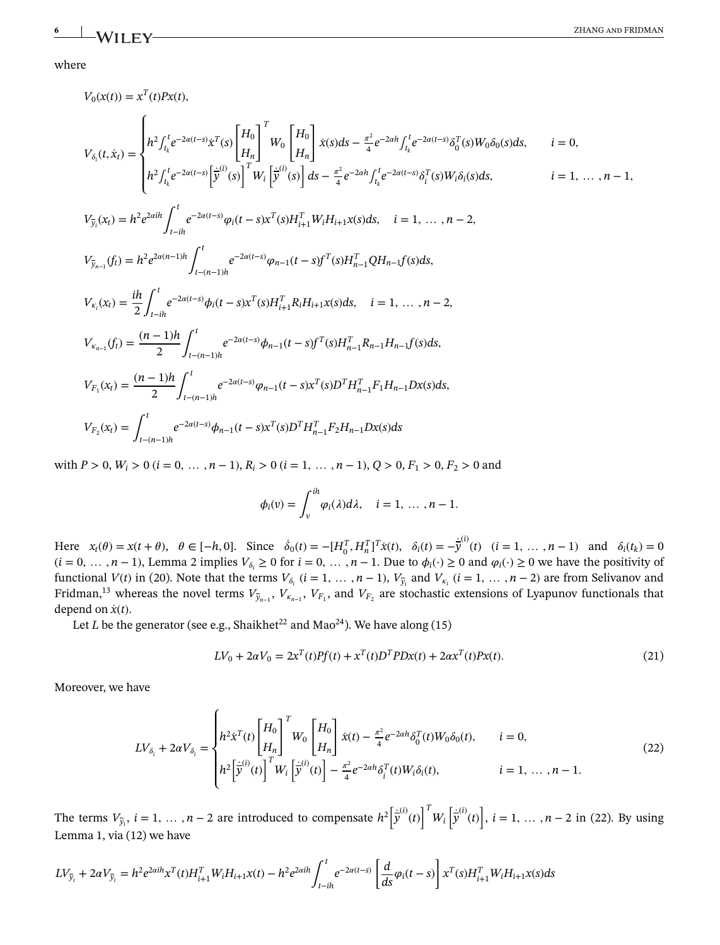### where

$$
V_{0}(x(t)) = x^{T}(t)Px(t),
$$
\n
$$
V_{\delta_{i}}(t, \dot{x}_{i}) = \begin{cases}\n\frac{1}{R^{2}} \int_{t_{k}^{i}}^{t} e^{-2\alpha(t-s)} \dot{x}^{T}(s) \begin{bmatrix} H_{0} \\ H_{n} \end{bmatrix}^{T} W_{0} \begin{bmatrix} H_{0} \\ H_{n} \end{bmatrix} \dot{x}(s) ds - \frac{\pi^{2}}{4} e^{-2\alpha h} \int_{t_{k}^{i}}^{t} e^{-2\alpha(t-s)} \delta_{0}^{T}(s) W_{0} \delta_{0}(s) ds, \quad i = 0, \\
\frac{1}{R^{2}} \int_{t_{k}^{i}}^{t} e^{-2\alpha(t-s)} \begin{bmatrix} \dot{y}^{(i)}(s) \end{bmatrix}^{T} W_{i} \begin{bmatrix} \dot{y}^{(i)}(s) \end{bmatrix} ds - \frac{\pi^{2}}{4} e^{-2\alpha h} \int_{t_{k}^{i}}^{t} e^{-2\alpha(t-s)} \delta_{i}^{T}(s) W_{i} \delta_{i}(s) ds, \quad i = 1, ..., n-1,
$$
\n
$$
V_{\overline{y}_{i}}(x_{t}) = h^{2} e^{2\alpha h} \int_{t-in}^{t} e^{-2\alpha(t-s)} \varphi_{i}(t-s) x^{T}(s) H_{i+1}^{T} W_{i} H_{i+1} x(s) ds, \quad i = 1, ..., n-2,
$$
\n
$$
V_{\overline{y}_{n-1}}(f_{t}) = h^{2} e^{2\alpha(n-1)h} \int_{t-(n-1)h}^{t} e^{-2\alpha(t-s)} \varphi_{n-1}(t-s) f^{T}(s) H_{n-1}^{T} Q H_{n-1} f(s) ds,
$$
\n
$$
V_{\kappa_{i}}(x_{t}) = \frac{ih}{2} \int_{t-in}^{t} e^{-2\alpha(t-s)} \varphi_{i}(t-s) x^{T}(s) H_{i+1}^{T} R_{i} H_{i+1} x(s) ds, \quad i = 1, ..., n-2,
$$
\n
$$
V_{\kappa_{n-1}}(f_{t}) = \frac{(n-1)h}{2} \int_{t-(n-1)h}^{t} e^{-2\alpha(t-s)} \varphi_{n-1}(t-s) f^{T}(s) H_{n-1
$$

with  $P > 0$ ,  $W_i > 0$   $(i = 0, ..., n - 1)$ ,  $R_i > 0$   $(i = 1, ..., n - 1)$ ,  $Q > 0$ ,  $F_1 > 0$ ,  $F_2 > 0$  and

$$
\phi_i(v) = \int_v^{ih} \varphi_i(\lambda) d\lambda, \quad i = 1, \ldots, n-1.
$$

Here  $x_t(\theta) = x(t + \theta)$ ,  $\theta \in [-h, 0]$ . Since  $\dot{\delta}_0(t) = -[H_0^T, H_n^T]^T \dot{x}(t)$ ,  $\delta_i(t) = -\dot{\dot{y}}^{(i)}(t)$   $(i = 1, ..., n - 1)$  and  $\delta_i(t_k) = 0$  $(i = 0, \ldots, n-1)$ , Lemma 2 implies  $V_{\delta_i} \ge 0$  for  $i = 0, \ldots, n-1$ . Due to  $\phi_i(\cdot) \ge 0$  and  $\phi_i(\cdot) \ge 0$  we have the positivity of functional  $V(t)$  in (20). Note that the terms  $V_{\delta_i}$  ( $i = 1, ..., n-1$ ),  $V_{\bar{y}_i}$  and  $V_{\kappa_i}$  ( $i = 1, ..., n-2$ ) are from Selivanov and Fridman,<sup>13</sup> whereas the novel terms  $V_{\bar{y}_{n-1}}$ ,  $V_{K_{n-1}}$ ,  $V_{F_1}$ , and  $V_{F_2}$  are stochastic extensions of Lyapunov functionals that depend on  $\dot{x}(t)$ .

Let *L* be the generator (see e.g., Shaikhet<sup>22</sup> and Mao<sup>24</sup>). We have along (15)

$$
LV_0 + 2\alpha V_0 = 2x^T(t)Pf(t) + x^T(t)D^TPDx(t) + 2\alpha x^T(t)Px(t).
$$
 (21)

Moreover, we have

$$
LV_{\delta_i} + 2\alpha V_{\delta_i} = \begin{cases} h^2 \dot{x}^T(t) \begin{bmatrix} H_0 \\ H_n \end{bmatrix}^T W_0 \begin{bmatrix} H_0 \\ H_n \end{bmatrix} \dot{x}(t) - \frac{\pi^2}{4} e^{-2\alpha h} \delta_0^T(t) W_0 \delta_0(t), & i = 0, \\ h^2 \left[ \dot{\bar{y}}^{(i)}(t) \right]^T W_i \left[ \dot{\bar{y}}^{(i)}(t) \right] - \frac{\pi^2}{4} e^{-2\alpha h} \delta_i^T(t) W_i \delta_i(t), & i = 1, ..., n-1. \end{cases}
$$
(22)

The terms  $V_{\bar{y}_i}$ ,  $i = 1, \ldots, n-2$  are introduced to compensate  $h^2$  $\overline{a}$ .<br>י *y* (*i*) (*t*) ]*T Wi*  $\overline{a}$ ֖֖֚֚֚֡֝֝֝֝  $\dot{\bar{y}}^{(i)}(t)$  $\overline{a}$ , *i* = 1*,* … *, n* − 2 in (22). By using Lemma 1, via (12) we have

$$
LV_{\bar{y}_i} + 2\alpha V_{\bar{y}_i} = h^2 e^{2\alpha i h} x^T(t) H_{i+1}^T W_i H_{i+1} x(t) - h^2 e^{2\alpha i h} \int_{t-ih}^t e^{-2\alpha(t-s)} \left[ \frac{d}{ds} \varphi_i(t-s) \right] x^T(s) H_{i+1}^T W_i H_{i+1} x(s) ds
$$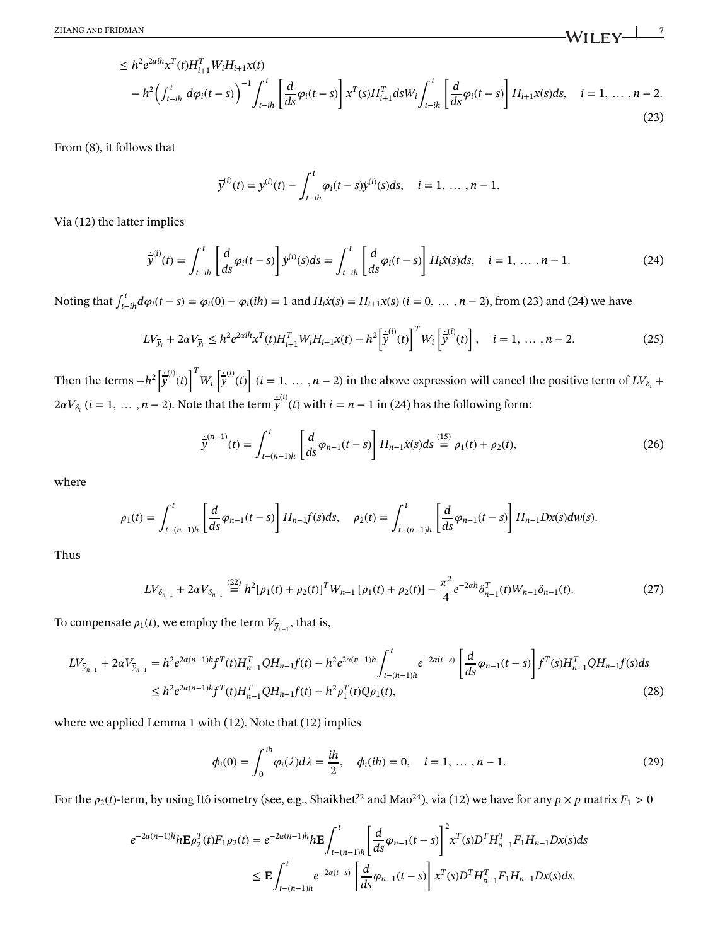$$
\leq h^2 e^{2\alpha i h} x^T(t) H_{i+1}^T W_i H_{i+1} x(t) - h^2 \Big( \int_{t-ih}^t d\varphi_i(t-s) \Big)^{-1} \int_{t-ih}^t \left[ \frac{d}{ds} \varphi_i(t-s) \right] x^T(s) H_{i+1}^T ds W_i \int_{t-ih}^t \left[ \frac{d}{ds} \varphi_i(t-s) \right] H_{i+1} x(s) ds, \quad i = 1, ..., n-2.
$$
\n(23)

From (8), it follows that

$$
\bar{y}^{(i)}(t) = y^{(i)}(t) - \int_{t-ih}^{t} \varphi_i(t-s) \dot{y}^{(i)}(s) ds, \quad i = 1, ..., n-1.
$$

Via (12) the latter implies

$$
\dot{\bar{y}}^{(i)}(t) = \int_{t-ih}^{t} \left[ \frac{d}{ds} \varphi_i(t-s) \right] \dot{y}^{(i)}(s) ds = \int_{t-ih}^{t} \left[ \frac{d}{ds} \varphi_i(t-s) \right] H_i \dot{x}(s) ds, \quad i = 1, ..., n-1.
$$
 (24)

Noting that  $\int_{t-in}^{t} d\varphi_i(t-s) = \varphi_i(0) - \varphi_i(ih) = 1$  and  $H_i\dot{x}(s) = H_{i+1}x(s)$   $(i = 0, ..., n-2)$ , from (23) and (24) we have

$$
LV_{\bar{y}_i} + 2\alpha V_{\bar{y}_i} \le h^2 e^{2\alpha i h} x^T(t) H_{i+1}^T W_i H_{i+1} x(t) - h^2 \left[\dot{\bar{y}}^{(i)}(t)\right]^T W_i \left[\dot{\bar{y}}^{(i)}(t)\right], \quad i = 1, ..., n-2.
$$
 (25)

Then the terms −*h*<sup>2</sup>  $\overline{a}$ ֖֖֖֧֡֓֓֓֓֓֓֓֓֓֓֓֓֓֓֓֓֓֓֓ *y* (*i*) (*t*) ]*T Wi*  $\overline{a}$ ֺ֖֖֖֖֖֖֧֧֧֧֚֚֚֚֚֚֚֚֚֚֚֚֚֚֚֚֚֚֚֚֚֚֚֚֚֚֚֝֓֝֓֞֓֝֓֞֓֞֓֞֓֞֓֞֓֞֓֝֓֞ *y* (*i*) (*t*)  $\overline{a}$  $(i = 1, \ldots, n - 2)$  in the above expression will cancel the positive term of  $LV_{\delta_i}$  +  $2\alpha V_{\delta_i}$  (*i* = 1, ... , *n* − 2). Note that the term  $\dot{\bar{y}}^{(i)}(t)$  with *i* = *n* − 1 in (24) has the following form:

$$
\dot{\bar{y}}^{(n-1)}(t) = \int_{t-(n-1)h}^{t} \left[ \frac{d}{ds} \varphi_{n-1}(t-s) \right] H_{n-1} \dot{x}(s) ds \stackrel{(15)}{=} \rho_1(t) + \rho_2(t), \tag{26}
$$

where

$$
\rho_1(t) = \int_{t-(n-1)h}^t \left[ \frac{d}{ds} \varphi_{n-1}(t-s) \right] H_{n-1}f(s)ds, \quad \rho_2(t) = \int_{t-(n-1)h}^t \left[ \frac{d}{ds} \varphi_{n-1}(t-s) \right] H_{n-1}Dx(s)dw(s).
$$

Thus

$$
LV_{\delta_{n-1}} + 2\alpha V_{\delta_{n-1}} \stackrel{(22)}{=} h^2[\rho_1(t) + \rho_2(t)]^T W_{n-1}[\rho_1(t) + \rho_2(t)] - \frac{\pi^2}{4} e^{-2\alpha h} \delta_{n-1}^T(t) W_{n-1} \delta_{n-1}(t).
$$
 (27)

To compensate  $\rho_1(t)$ , we employ the term  $V_{\bar{y}_{n-1}}$ , that is,

$$
LV_{\bar{y}_{n-1}} + 2\alpha V_{\bar{y}_{n-1}} = h^2 e^{2\alpha(n-1)h} f^T(t) H_{n-1}^T Q H_{n-1} f(t) - h^2 e^{2\alpha(n-1)h} \int_{t-(n-1)h}^t e^{-2\alpha(t-s)} \left[ \frac{d}{ds} \varphi_{n-1}(t-s) \right] f^T(s) H_{n-1}^T Q H_{n-1} f(s) ds
$$
  

$$
\leq h^2 e^{2\alpha(n-1)h} f^T(t) H_{n-1}^T Q H_{n-1} f(t) - h^2 \rho_1^T(t) Q \rho_1(t),
$$
 (28)

where we applied Lemma 1 with (12). Note that (12) implies

$$
\phi_i(0) = \int_0^{ih} \varphi_i(\lambda) d\lambda = \frac{ih}{2}, \quad \phi_i(ih) = 0, \quad i = 1, ..., n-1.
$$
 (29)

For the  $\rho_2(t)$ -term, by using Itô isometry (see, e.g., Shaikhet<sup>22</sup> and Mao<sup>24</sup>), via (12) we have for any  $p \times p$  matrix  $F_1 > 0$ 

$$
e^{-2\alpha(n-1)h}h\mathbf{E}\rho_2^T(t)F_1\rho_2(t) = e^{-2\alpha(n-1)h}h\mathbf{E}\int_{t-(n-1)h}^t \left[\frac{d}{ds}\varphi_{n-1}(t-s)\right]^2 x^T(s)D^T H_{n-1}^T F_1 H_{n-1}Dx(s)ds
$$
  

$$
\leq \mathbf{E}\int_{t-(n-1)h}^t e^{-2\alpha(t-s)}\left[\frac{d}{ds}\varphi_{n-1}(t-s)\right]x^T(s)D^T H_{n-1}^T F_1 H_{n-1}Dx(s)ds.
$$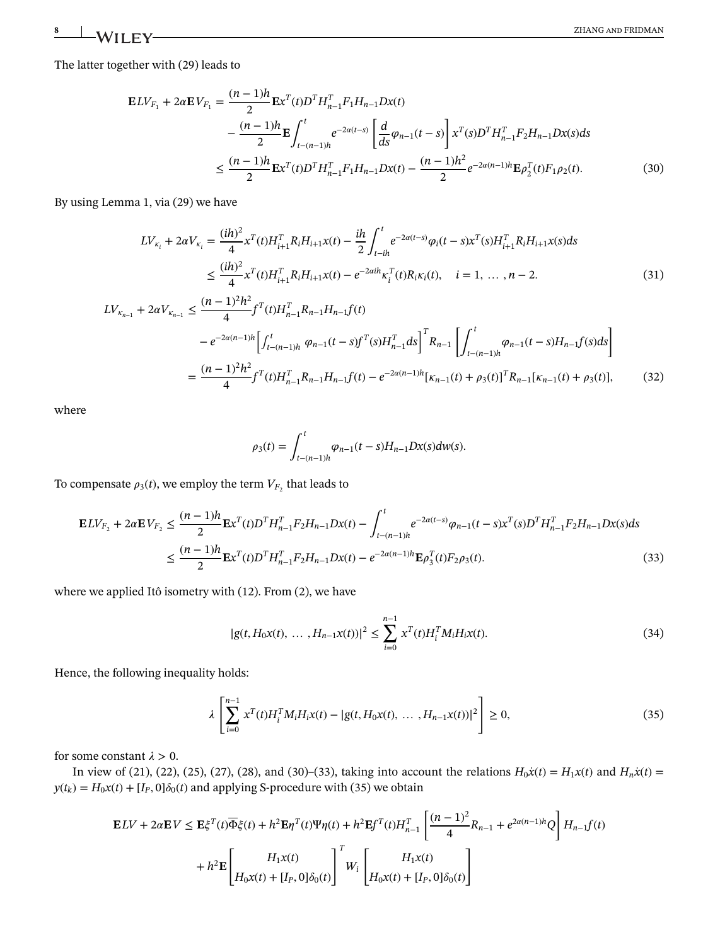The latter together with (29) leads to

$$
\mathbf{E}LV_{F_1} + 2\alpha \mathbf{E}V_{F_1} = \frac{(n-1)h}{2} \mathbf{E}x^{T}(t)D^{T}H_{n-1}^{T}F_1H_{n-1}Dx(t)
$$

$$
-\frac{(n-1)h}{2} \mathbf{E}\int_{t-(n-1)h}^{t} e^{-2\alpha(t-s)} \left[\frac{d}{ds}\varphi_{n-1}(t-s)\right]x^{T}(s)D^{T}H_{n-1}^{T}F_2H_{n-1}Dx(s)ds
$$

$$
\leq \frac{(n-1)h}{2} \mathbf{E}x^{T}(t)D^{T}H_{n-1}^{T}F_1H_{n-1}Dx(t) - \frac{(n-1)h^{2}}{2}e^{-2\alpha(n-1)h}\mathbf{E}\varphi_{2}^{T}(t)F_1\rho_{2}(t).
$$
(30)

By using Lemma 1, via (29) we have

$$
LV_{\kappa_i} + 2\alpha V_{\kappa_i} = \frac{(ih)^2}{4} x^T(t)H_{i+1}^T R_i H_{i+1}x(t) - \frac{ih}{2} \int_{t-ih}^t e^{-2\alpha(t-s)} \varphi_i(t-s) x^T(s)H_{i+1}^T R_i H_{i+1}x(s)ds
$$
  

$$
\leq \frac{(ih)^2}{4} x^T(t)H_{i+1}^T R_i H_{i+1}x(t) - e^{-2\alpha ih} \kappa_i^T(t)R_i \kappa_i(t), \quad i = 1, ..., n-2.
$$
 (31)

$$
LV_{\kappa_{n-1}} + 2\alpha V_{\kappa_{n-1}} \leq \frac{(n-1)^2 h^2}{4} f^T(t) H_{n-1}^T R_{n-1} H_{n-1} f(t)
$$
  

$$
-e^{-2\alpha(n-1)h} \left[ \int_{t-(n-1)h}^t \varphi_{n-1}(t-s) f^T(s) H_{n-1}^T ds \right]^T R_{n-1} \left[ \int_{t-(n-1)h}^t \varphi_{n-1}(t-s) H_{n-1} f(s) ds \right]
$$
  

$$
= \frac{(n-1)^2 h^2}{4} f^T(t) H_{n-1}^T R_{n-1} H_{n-1} f(t) - e^{-2\alpha(n-1)h} [\kappa_{n-1}(t) + \rho_3(t)]^T R_{n-1} [\kappa_{n-1}(t) + \rho_3(t)], \tag{32}
$$

where

$$
\rho_3(t) = \int_{t-(n-1)h}^t \varphi_{n-1}(t-s)H_{n-1}Dx(s)dw(s).
$$

To compensate  $\rho_3(t)$ , we employ the term  $V_{F_2}$  that leads to

$$
\mathbf{E}LV_{F_2} + 2\alpha \mathbf{E}V_{F_2} \leq \frac{(n-1)h}{2} \mathbf{E}x^{T}(t)D^{T}H_{n-1}^{T}F_{2}H_{n-1}Dx(t) - \int_{t-(n-1)h}^{t} e^{-2\alpha(t-s)}\varphi_{n-1}(t-s)x^{T}(s)D^{T}H_{n-1}^{T}F_{2}H_{n-1}Dx(s)ds
$$
  

$$
\leq \frac{(n-1)h}{2} \mathbf{E}x^{T}(t)D^{T}H_{n-1}^{T}F_{2}H_{n-1}Dx(t) - e^{-2\alpha(n-1)h} \mathbf{E}\rho_{3}^{T}(t)F_{2}\rho_{3}(t).
$$
 (33)

where we applied Itô isometry with (12). From (2), we have

$$
|g(t, H_0x(t), \dots, H_{n-1}x(t))|^2 \le \sum_{i=0}^{n-1} x^T(t)H_i^T M_i H_i x(t).
$$
 (34)

Hence, the following inequality holds:

$$
\lambda \left[ \sum_{i=0}^{n-1} x^{T}(t) H_{i}^{T} M_{i} H_{i} x(t) - |g(t, H_{0} x(t), ..., H_{n-1} x(t))|^{2} \right] \geq 0,
$$
\n(35)

for some constant  $\lambda > 0$ .

In view of (21), (22), (25), (27), (28), and (30)–(33), taking into account the relations  $H_0\dot{x}(t) = H_1x(t)$  and  $H_n\dot{x}(t) =$  $y(t_k) = H_0x(t) + [I_P, 0]\delta_0(t)$  and applying S-procedure with (35) we obtain

$$
\mathbf{E}LV + 2\alpha \mathbf{E}V \le \mathbf{E}\xi^{T}(t)\overline{\Phi}\xi(t) + h^{2}\mathbf{E}\eta^{T}(t)\Psi\eta(t) + h^{2}\mathbf{E}f^{T}(t)H_{n-1}^{T} \left[\frac{(n-1)^{2}}{4}R_{n-1} + e^{2\alpha(n-1)h}Q\right]H_{n-1}f(t) + h^{2}\mathbf{E}\left[H_{1}x(t)\right]^{T}W_{i}\left[H_{1}x(t)\right]^{T}W_{i}\left[H_{0}x(t) + [I_{P},0]\delta_{0}(t)\right]
$$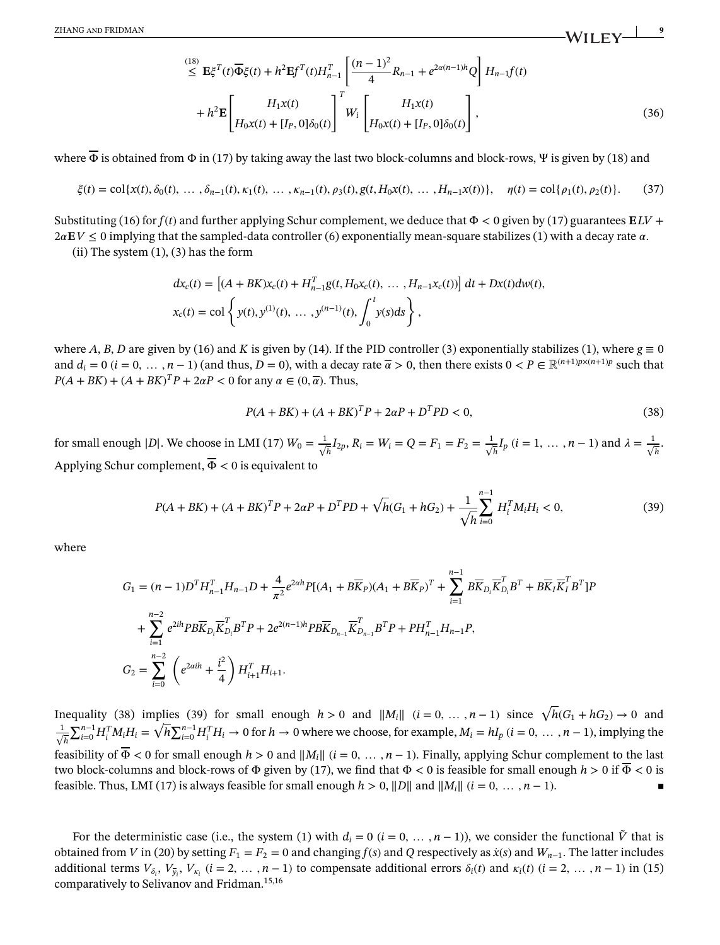$$
\leq \mathbf{E}\xi^{T}(t)\overline{\Phi}\xi(t) + h^{2}\mathbf{E}f^{T}(t)H_{n-1}^{T}\left[\frac{(n-1)^{2}}{4}R_{n-1} + e^{2\alpha(n-1)h}Q\right]H_{n-1}f(t) \n+ h^{2}\mathbf{E}\left[H_{1}x(t)\right]^{T}W_{i}\left[H_{0}x(t) + [I_{P},0]\delta_{0}(t)\right],
$$
\n(36)

where  $\overline{\Phi}$  is obtained from  $\Phi$  in (17) by taking away the last two block-columns and block-rows, Ψ is given by (18) and

$$
\xi(t) = \text{col}\{x(t), \delta_0(t), \dots, \delta_{n-1}(t), \kappa_1(t), \dots, \kappa_{n-1}(t), \rho_3(t), g(t, H_0 x(t), \dots, H_{n-1} x(t))\}, \quad \eta(t) = \text{col}\{\rho_1(t), \rho_2(t)\}.
$$
 (37)

Substituting (16) for *f*(*t*) and further applying Schur complement, we deduce that Φ *<* 0 given by (17) guarantees **E***LV* +  $2aE$ *V*  $\leq$  0 implying that the sampled-data controller (6) exponentially mean-square stabilizes (1) with a decay rate  $\alpha$ .

 $(ii)$  The system  $(1)$ ,  $(3)$  has the form

$$
dx_c(t) = [(A + BK)x_c(t) + H_{n-1}^T g(t, H_0x_c(t), ..., H_{n-1}x_c(t))] dt + Dx(t)dw(t),
$$
  
\n
$$
x_c(t) = \text{col}\left\{y(t), y^{(1)}(t), ..., y^{(n-1)}(t), \int_0^t y(s)ds\right\},
$$

where *A*, *B*, *D* are given by (16) and *K* is given by (14). If the PID controller (3) exponentially stabilizes (1), where  $g \equiv 0$ and  $d_i = 0$  ( $i = 0, \ldots, n-1$ ) (and thus,  $D = 0$ ), with a decay rate  $\overline{\alpha} > 0$ , then there exists  $0 < P \in \mathbb{R}^{(n+1)p \times (n+1)p}$  such that  $P(A + BK) + (A + BK)^T P + 2\alpha P < 0$  for any  $\alpha \in (0, \overline{\alpha})$ . Thus,

$$
P(A + BK) + (A + BK)^{T}P + 2\alpha P + D^{T}PD < 0,\tag{38}
$$

for small enough |D|. We choose in LMI (17)  $W_0 = \frac{1}{\sqrt{2}}$  $\frac{1}{h}I_{2p}, R_i = W_i = Q = F_1 = F_2 = \frac{1}{\sqrt{2}}$  $\frac{1}{h}I_p$  (*i* = 1, …, *n* − 1) and  $\lambda = \frac{1}{\sqrt{2}}$ *h* . Applying Schur complement,  $\overline{\Phi}$  < 0 is equivalent to

$$
P(A + BK) + (A + BK)^{T}P + 2\alpha P + D^{T}PD + \sqrt{h}(G_{1} + hG_{2}) + \frac{1}{\sqrt{h}}\sum_{i=0}^{n-1} H_{i}^{T}M_{i}H_{i} < 0,
$$
\n(39)

where

$$
G_{1} = (n-1)D^{T}H_{n-1}^{T}H_{n-1}D + \frac{4}{\pi^{2}}e^{2\alpha h}P[(A_{1} + B\overline{K}_{P})(A_{1} + B\overline{K}_{P})^{T} + \sum_{i=1}^{n-1}B\overline{K}_{D_{i}}\overline{K}_{D_{i}}^{T}B^{T} + B\overline{K}_{I}\overline{K}_{I}^{T}B^{T}]P
$$
  
+ 
$$
\sum_{i=1}^{n-2}e^{2ih}PB\overline{K}_{D_{i}}\overline{K}_{D_{i}}^{T}B^{T}P + 2e^{2(n-1)h}PB\overline{K}_{D_{n-1}}\overline{K}_{D_{n-1}}^{T}B^{T}P + PH_{n-1}^{T}H_{n-1}P,
$$
  

$$
G_{2} = \sum_{i=0}^{n-2} \left(e^{2\alpha ih} + \frac{i^{2}}{4}\right)H_{i+1}^{T}H_{i+1}.
$$

Inequality (38) implies (39) for small enough  $h > 0$  and  $||M_i||$  ( $i = 0, ..., n - 1$ ) since  $\sqrt{h}(G_1 + hG_2) \rightarrow 0$  and  $\frac{1}{\sqrt{2}}$ *h*  $\sum_{i=0}^{n-1} H_i^T M_i H_i = \sqrt{h} \sum_{i=0}^{n-1} H_i^T H_i \to 0$  for  $h \to 0$  where we choose, for example,  $M_i = h I_p$  ( $i = 0, ..., n-1$ ), implying the feasibility of  $\overline{\Phi}$  < 0 for small enough *h* > 0 and  $||M_i||$  (*i* = 0, ..., *n* − 1). Finally, applying Schur complement to the last two block-columns and block-rows of Φ given by (17), we find that Φ *<* 0 is feasible for small enough *h >* 0 if Φ *<* 0 is feasible. Thus, LMI (17) is always feasible for small enough  $h > 0$ ,  $||D||$  and  $||M_i||$  ( $i = 0, \ldots, n-1$ ).

For the deterministic case (i.e., the system (1) with  $d_i = 0$  ( $i = 0, \ldots, n-1$ )), we consider the functional  $\tilde{V}$  that is obtained from *V* in (20) by setting  $F_1 = F_2 = 0$  and changing  $f(s)$  and Q respectively as  $\dot{x}(s)$  and  $W_{n-1}$ . The latter includes additional terms  $V_{\delta_i}$ ,  $V_{\bar{y}_i}$ ,  $V_{\kappa_i}$  ( $i = 2, ..., n-1$ ) to compensate additional errors  $\delta_i(t)$  and  $\kappa_i(t)$  ( $i = 2, ..., n-1$ ) in (15) comparatively to Selivanov and Fridman.15,16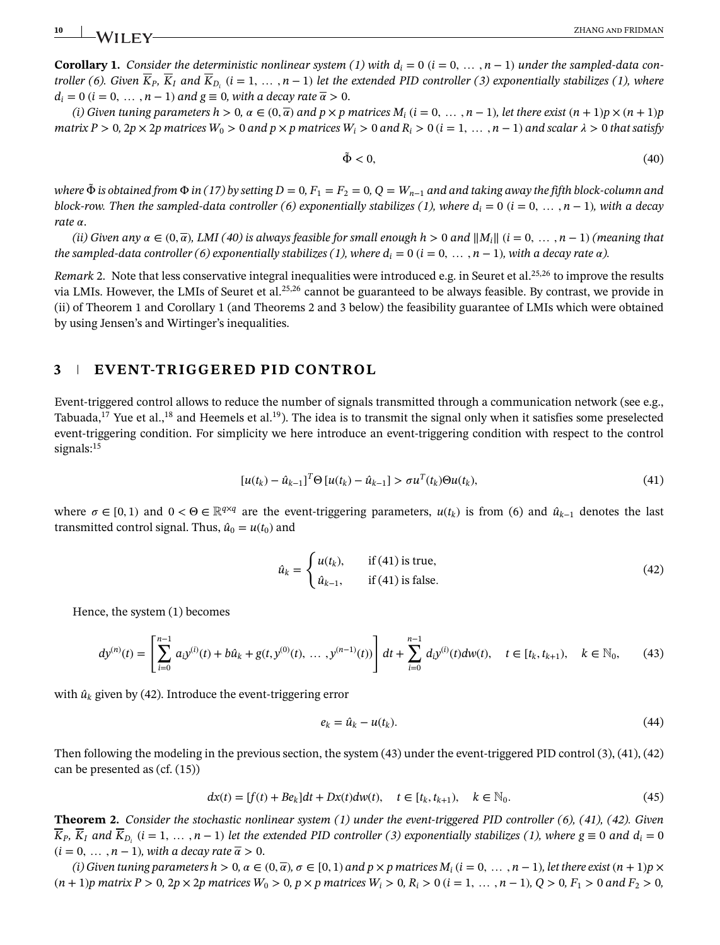**Corollary 1.** Consider the deterministic nonlinear system (1) with  $d_i = 0$  ( $i = 0, \ldots, n - 1$ ) under the sampled-data con*troller* (6). Given  $\overline{K}_P$ ,  $\overline{K}_I$  and  $\overline{K}_{D_i}$  (*i* = 1, ..., *n* − 1) *let the extended PID controller* (3) exponentially stabilizes (1), where  $d_i = 0$  ( $i = 0, \ldots, n - 1$ ) and  $g \equiv 0$ , with a decay rate  $\overline{\alpha} > 0$ .

(i) Given tuning parameters  $h > 0$ ,  $\alpha \in (0, \overline{\alpha})$  and  $p \times p$  matrices  $M_i$  ( $i = 0, \ldots, n-1$ ), let there exist  $(n+1)p \times (n+1)p$ matrix  $P > 0$ ,  $2p \times 2p$  matrices  $W_0 > 0$  and  $p \times p$  matrices  $W_i > 0$  and  $R_i > 0$  ( $i = 1, ..., n - 1$ ) and scalar  $\lambda > 0$  that satisfy

$$
\tilde{\Phi} < 0,\tag{40}
$$

*where*  $\tilde{\Phi}$  *is obtained from*  $\Phi$  *in* (17) by setting  $D = 0$ ,  $F_1 = F_2 = 0$ ,  $Q = W_{n-1}$  and and taking away the fifth block-column and *block-row. Then the sampled-data controller (6) exponentially stabilizes (1), where*  $d_i = 0$  *(* $i = 0, \ldots, n - 1$ *), with a decay rate*  $\alpha$ .

*(ii)* Given any  $\alpha \in (0, \overline{\alpha})$ , LMI (40) is always feasible for small enough  $h > 0$  and  $||M_i||$  ( $i = 0, \ldots, n - 1$ ) *(meaning that the sampled-data controller (6) exponentially stabilizes (1), where*  $d_i = 0$  *(* $i = 0, \ldots, n-1$ *), with a decay rate*  $\alpha$ *).* 

*Remark* 2. Note that less conservative integral inequalities were introduced e.g. in Seuret et al.<sup>25,26</sup> to improve the results via LMIs. However, the LMIs of Seuret et al.25,26 cannot be guaranteed to be always feasible. By contrast, we provide in (ii) of Theorem 1 and Corollary 1 (and Theorems 2 and 3 below) the feasibility guarantee of LMIs which were obtained by using Jensen's and Wirtinger's inequalities.

# **3 EVENT-TRIGGERED PID CONTROL**

Event-triggered control allows to reduce the number of signals transmitted through a communication network (see e.g., Tabuada,<sup>17</sup> Yue et al.,<sup>18</sup> and Heemels et al.<sup>19</sup>). The idea is to transmit the signal only when it satisfies some preselected event-triggering condition. For simplicity we here introduce an event-triggering condition with respect to the control signals:<sup>15</sup>

$$
[u(t_k) - \hat{u}_{k-1}]^T \Theta [u(t_k) - \hat{u}_{k-1}] > \sigma u^T(t_k) \Theta u(t_k),
$$
\n(41)

where  $\sigma \in [0,1)$  and  $0 < \Theta \in \mathbb{R}^{q \times q}$  are the event-triggering parameters,  $u(t_k)$  is from (6) and  $\hat{u}_{k-1}$  denotes the last transmitted control signal. Thus,  $\hat{u}_0 = u(t_0)$  and

$$
\hat{u}_k = \begin{cases} u(t_k), & \text{if (41) is true,} \\ \hat{u}_{k-1}, & \text{if (41) is false.} \end{cases}
$$
\n(42)

Hence, the system (1) becomes

$$
dy^{(n)}(t) = \left[\sum_{i=0}^{n-1} a_i y^{(i)}(t) + b\hat{u}_k + g(t, y^{(0)}(t), \dots, y^{(n-1)}(t))\right] dt + \sum_{i=0}^{n-1} d_i y^{(i)}(t) dw(t), \quad t \in [t_k, t_{k+1}), \quad k \in \mathbb{N}_0,
$$
 (43)

with  $\hat{u}_k$  given by (42). Introduce the event-triggering error

$$
e_k = \hat{u}_k - u(t_k). \tag{44}
$$

Then following the modeling in the previous section, the system (43) under the event-triggered PID control (3), (41), (42) can be presented as (cf. (15))

$$
dx(t) = [f(t) + Be_k]dt + Dx(t)dw(t), \quad t \in [t_k, t_{k+1}), \quad k \in \mathbb{N}_0.
$$
 (45)

**Theorem 2.** *Consider the stochastic nonlinear system (1) under the event-triggered PID controller (6), (41), (42). Given*  $\overline{K}_P$ ,  $\overline{K}_I$  and  $\overline{K}_{D_i}$  (*i* = 1, … , *n* − 1) let the extended PID controller (3) exponentially stabilizes (1), where g  $\equiv$  0 and  $d_i$  = 0  $(i = 0, \ldots, n-1)$ , with a decay rate  $\overline{\alpha} > 0$ .

(i) Given tuning parameters  $h > 0$ ,  $\alpha \in (0, \overline{\alpha})$ ,  $\sigma \in [0, 1)$  and  $p \times p$  matrices  $M_i$  ( $i = 0, \ldots, n - 1$ ), let there exist  $(n + 1)p \times p$  $(n + 1)p$  matrix  $P > 0$ ,  $2p \times 2p$  matrices  $W_0 > 0$ ,  $p \times p$  matrices  $W_i > 0$ ,  $R_i > 0$   $(i = 1, ..., n - 1)$ ,  $Q > 0$ ,  $F_1 > 0$  and  $F_2 > 0$ ,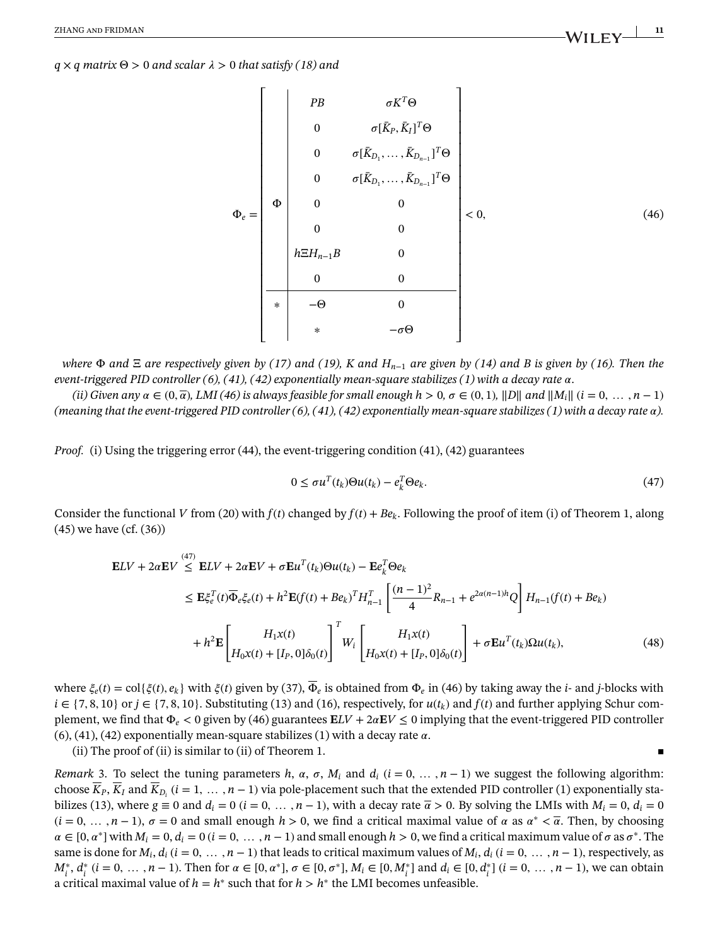### $q \times q$  *matrix*  $\Theta > 0$  *and scalar*  $\lambda > 0$  *that satisfy* (18) *and*

$$
\Phi_e = \begin{bmatrix}\nPB & \sigma K^T \Theta \\
0 & \sigma [\bar{K}_P, \bar{K}_I]^T \Theta \\
0 & \sigma [\bar{K}_{D_1}, \dots, \bar{K}_{D_{n-1}}]^T \Theta \\
0 & \sigma [\bar{K}_{D_1}, \dots, \bar{K}_{D_{n-1}}]^T \Theta \\
0 & 0 & 0 \\
0 & 0 & 0 \\
h \Xi H_{n-1} B & 0 & 0 \\
0 & 0 & 0 & 0 \\
0 & 0 & 0 & 0 \\
0 & \phi & 0 & 0 \\
0 & \phi & 0 & 0 \\
0 & \phi & 0 & 0 \\
0 & \phi & 0 & 0 \\
0 & \phi & 0 & 0 \\
0 & \phi & 0 & 0 \\
0 & \phi & 0 & 0 \\
0 & \phi & 0 & 0 \\
0 & \phi & 0 & 0 \\
0 & \phi & 0 & 0 \\
0 & \phi & 0 & 0 \\
0 & \phi & 0 & 0 \\
0 & \phi & 0 & 0 \\
0 & \phi & 0 & 0 \\
0 & \phi & 0 & 0 \\
0 & \phi & 0 & 0 \\
0 & \phi & 0 & 0 \\
0 & \phi & 0 & 0 \\
0 & \phi & 0 & 0 \\
0 & \phi & 0 & 0 \\
0 & \phi & 0 & 0 \\
0 & \phi & 0 & 0 \\
0 & \phi & 0 & 0 \\
0 & \phi & 0 & 0 \\
0 & \phi & 0 & 0 \\
0 & \phi & 0 & 0 \\
0 & \phi & 0 & 0 \\
0 & \phi & 0 & 0 \\
0 & \phi & 0 & 0 \\
0 & \phi & 0 & 0 \\
0 & \phi & 0 & 0 \\
0 & \phi & 0 & 0 \\
0 & \phi & 0 & 0 \\
0 & \phi & 0 & 0 \\
0 & \phi & 0 & 0 \\
0 & \phi & 0 & 0 \\
0 & \phi & 0 & 0 \\
0 & \phi & 0 & 0 \\
0 & \phi & 0 & 0 \\
0 & \phi & 0 & 0 \\
0 & \phi & 0 & 0 \\
0 & \phi & 0 & 0 \\
0 & \phi & 0 & 0 \\
0 & \phi & 0 & 0 \\
0 & \phi & 0 & 0 \\
0 & \phi & 0 & 0 \\
0 & \phi & 0 & 0 \\
0 & \phi & 0 & 0 \\
0 & \phi & 0 & 0 \\
0 & \phi & 0 & 0 \\
0 & \phi & 0 & 0 \\
0 & \phi & 0 & 0 \\
0 & \phi & 0 & 0 \\
0 & \phi & 0 & 0 \\
0 & \phi
$$

*where*  $\Phi$  *and*  $\Xi$  *are respectively given by (17) and (19), K and*  $H_{n-1}$  *are given by (14) and B is given by (16). Then the event-triggered PID controller (6), (41), (42) exponentially mean-square stabilizes (1) with a decay rate*  $\alpha$ .

*(ii) Given any*  $\alpha \in (0, \overline{\alpha})$ , *LMI* (46) is always feasible for small enough  $h > 0$ ,  $\sigma \in (0, 1)$ ,  $||D||$  and  $||M_i||$  ( $i = 0, \ldots, n - 1$ ) *(meaning that the event-triggered PID controller (6), (41), (42) exponentially mean-square stabilizes (1) with a decay rate ).*

*Proof.* (i) Using the triggering error (44), the event-triggering condition (41), (42) guarantees

$$
0 \le \sigma u^{T}(t_{k})\Theta u(t_{k}) - e_{k}^{T}\Theta e_{k}.
$$
\n(47)

Consider the functional *V* from (20) with  $f(t)$  changed by  $f(t) + Be_k$ . Following the proof of item (i) of Theorem 1, along (45) we have (cf. (36))

$$
\mathbf{E}LV + 2\alpha \mathbf{E}V \stackrel{(47)}{\leq} \mathbf{E}LV + 2\alpha \mathbf{E}V + \sigma \mathbf{E}u^{T}(t_{k})\Theta u(t_{k}) - \mathbf{E}e_{k}^{T}\Theta e_{k}
$$
\n
$$
\leq \mathbf{E}\xi_{e}^{T}(t)\overline{\Phi}_{e}\xi_{e}(t) + h^{2}\mathbf{E}(f(t) + Be_{k})^{T}H_{n-1}^{T}\left[\frac{(n-1)^{2}}{4}R_{n-1} + e^{2\alpha(n-1)h}Q\right]H_{n-1}(f(t) + Be_{k}) + h^{2}\mathbf{E}\left[H_{1}x(t)\right] + \mathbf{E}e_{k}\left[H_{1}x(t)\right]^{T}W_{i}\left[H_{0}x(t) + [I_{P}, 0]\delta_{0}(t)\right] + \sigma \mathbf{E}u^{T}(t_{k})\Omega u(t_{k}), \tag{48}
$$

where  $\xi_e(t) = \text{col}\{\xi(t), e_k\}$  with  $\xi(t)$  given by (37),  $\overline{\Phi}_e$  is obtained from  $\Phi_e$  in (46) by taking away the *i*- and *j*-blocks with  $i \in \{7, 8, 10\}$  or  $j \in \{7, 8, 10\}$ . Substituting (13) and (16), respectively, for  $u(t_k)$  and  $f(t)$  and further applying Schur complement, we find that  $\Phi_e < 0$  given by (46) guarantees  $E L V + 2 \alpha E V \le 0$  implying that the event-triggered PID controller  $(6)$ , (41), (42) exponentially mean-square stabilizes (1) with a decay rate  $\alpha$ .

(ii) The proof of (ii) is similar to (ii) of Theorem 1.

*Remark* 3. To select the tuning parameters *h*,  $\alpha$ ,  $\sigma$ ,  $M_i$  and  $d_i$  ( $i = 0, \ldots, n - 1$ ) we suggest the following algorithm: choose  $\overline{K}_P$ ,  $\overline{K}_I$  and  $\overline{K}_{D_i}$  (*i* = 1, ..., *n* − 1) via pole-placement such that the extended PID controller (1) exponentially stabilizes (13), where  $g \equiv 0$  and  $d_i = 0$  ( $i = 0, \ldots, n - 1$ ), with a decay rate  $\bar{\alpha} > 0$ . By solving the LMIs with  $M_i = 0, d_i = 0$  $(i = 0, \ldots, n-1)$ ,  $\sigma = 0$  and small enough  $h > 0$ , we find a critical maximal value of  $\alpha$  as  $\alpha^* < \overline{\alpha}$ . Then, by choosing  $\alpha \in [0, \alpha^*]$  with  $M_i = 0, d_i = 0$  ( $i = 0, \ldots, n-1$ ) and small enough  $h > 0$ , we find a critical maximum value of  $\sigma$  as  $\sigma^*$ . The same is done for  $M_i$ ,  $d_i$  ( $i = 0, \ldots, n - 1$ ) that leads to critical maximum values of  $M_i$ ,  $d_i$  ( $i = 0, \ldots, n - 1$ ), respectively, as  $M_i^*, d_i^*$  ( $i = 0, \ldots, n-1$ ). Then for  $\alpha \in [0, \alpha^*]$ ,  $\sigma \in [0, \sigma^*]$ ,  $M_i \in [0, M_i^*]$  and  $d_i \in [0, d_i^*]$  ( $i = 0, \ldots, n-1$ ), we can obtain a critical maximal value of  $h = h^*$  such that for  $h > h^*$  the LMI becomes unfeasible.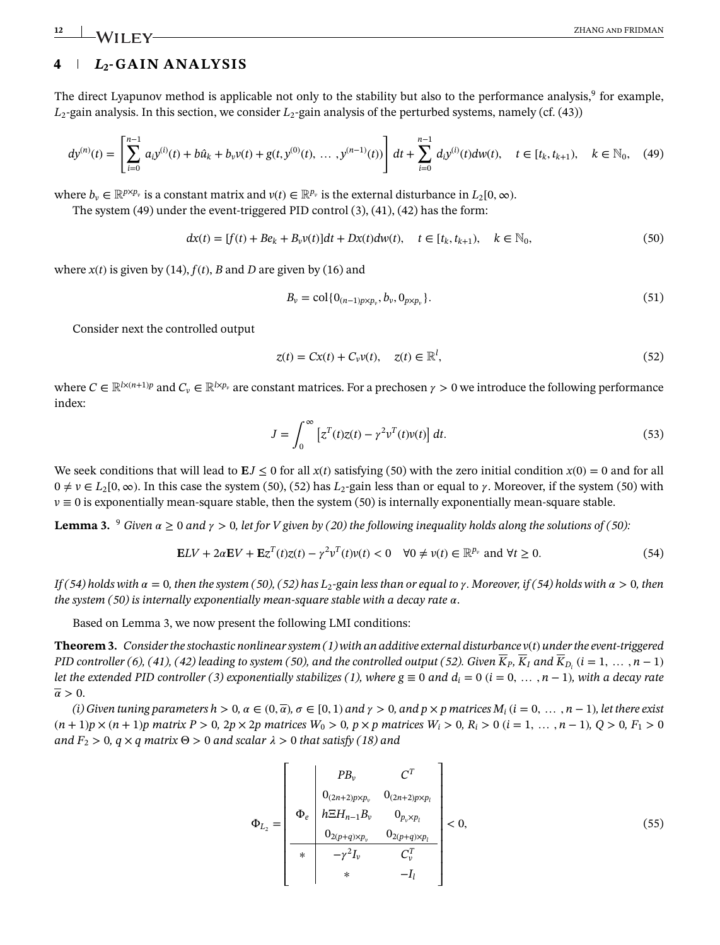# **4** *L***2-GAIN ANALYSIS**

The direct Lyapunov method is applicable not only to the stability but also to the performance analysis,<sup>9</sup> for example, *L*2-gain analysis. In this section, we consider *L*2-gain analysis of the perturbed systems, namely (cf. (43))

$$
dy^{(n)}(t) = \left[\sum_{i=0}^{n-1} a_i y^{(i)}(t) + b\hat{u}_k + b_v v(t) + g(t, y^{(0)}(t), \dots, y^{(n-1)}(t))\right] dt + \sum_{i=0}^{n-1} d_i y^{(i)}(t) dw(t), \quad t \in [t_k, t_{k+1}), \quad k \in \mathbb{N}_0, \quad (49)
$$

where  $b_v \in \mathbb{R}^{p \times p_v}$  is a constant matrix and  $v(t) \in \mathbb{R}^{p_v}$  is the external disturbance in  $L_2[0, \infty)$ .

The system (49) under the event-triggered PID control (3), (41), (42) has the form:

$$
dx(t) = [f(t) + Be_k + B_v v(t)]dt + Dx(t)dw(t), \quad t \in [t_k, t_{k+1}), \quad k \in \mathbb{N}_0,
$$
\n(50)

where  $x(t)$  is given by (14),  $f(t)$ ,  $B$  and  $D$  are given by (16) and

$$
B_{\nu} = \text{col}\{0_{(n-1)p \times p_{\nu}}, b_{\nu}, 0_{p \times p_{\nu}}\}.
$$
\n(51)

Consider next the controlled output

$$
z(t) = Cx(t) + C_v v(t), \quad z(t) \in \mathbb{R}^l,
$$
\n
$$
(52)
$$

where  $C \in \mathbb{R}^{l \times (n+1)p}$  and  $C_v \in \mathbb{R}^{l \times p_v}$  are constant matrices. For a prechosen  $\gamma > 0$  we introduce the following performance index:

$$
J = \int_0^\infty \left[ z^T(t)z(t) - \gamma^2 v^T(t)v(t) \right] dt.
$$
 (53)

We seek conditions that will lead to  $EJ \le 0$  for all  $x(t)$  satisfying (50) with the zero initial condition  $x(0) = 0$  and for all  $0 \neq v \in L_2[0,\infty)$ . In this case the system (50), (52) has  $L_2$ -gain less than or equal to  $\gamma$ . Moreover, if the system (50) with  $v \equiv 0$  is exponentially mean-square stable, then the system (50) is internally exponentially mean-square stable.

**Lemma 3.**  $9$  *Given*  $\alpha \ge 0$  *and*  $\gamma > 0$ , let for *V* given by (20) the following inequality holds along the solutions of (50):

$$
\mathbf{E}LV + 2\alpha\mathbf{E}V + \mathbf{E}\mathbf{z}^{T}(t)\mathbf{z}(t) - \gamma^{2}\mathbf{v}^{T}(t)\mathbf{v}(t) < 0 \quad \forall 0 \neq \mathbf{v}(t) \in \mathbb{R}^{p_{\nu}} \text{ and } \forall t \geq 0. \tag{54}
$$

*If* (54) holds with  $\alpha = 0$ , then the system (50), (52) has L<sub>2</sub>-gain less than or equal to  $\gamma$ . Moreover, if (54) holds with  $\alpha > 0$ , then *the system (50) is internally exponentially mean-square stable with a decay rate*  $\alpha$ .

Based on Lemma 3, we now present the following LMI conditions:

**Theorem 3.** *Consider the stochastic nonlinear system (1) with an additive external disturbance v*(*t*) *under the event-triggered PID controller (6), (41), (42) leading to system (50), and the controlled output (52). Given*  $\overline{K}_P$ *,*  $\overline{K}_I$  *and*  $\overline{K}_{D_i}$  *(<i>i* = 1, …, *n* − 1) *let the extended PID controller (3) exponentially stabilizes (1), where*  $g \equiv 0$  *and*  $d_i = 0$  *(* $i = 0, \ldots, n-1$ *), with a decay rate*  $\overline{\alpha} > 0$ .

(i) Given tuning parameters  $h > 0$ ,  $\alpha \in (0, \overline{\alpha})$ ,  $\sigma \in [0, 1)$  and  $\gamma > 0$ , and  $p \times p$  matrices  $M_i$  ( $i = 0, \ldots, n - 1$ ), let there exist  $(n+1)p \times (n+1)p$  matrix  $P > 0$ ,  $2p \times 2p$  matrices  $W_0 > 0$ ,  $p \times p$  matrices  $W_i > 0$ ,  $R_i > 0$   $(i = 1, ..., n-1)$ ,  $Q > 0$ ,  $F_1 > 0$ *and*  $F_2 > 0$ ,  $q \times q$  *matrix*  $\Theta > 0$  *and scalar*  $\lambda > 0$  *that satisfy (18) and* 

$$
\Phi_{L_2} = \begin{bmatrix}\nP_{B_v} & C^T \\
0_{(2n+2)p \times p_v} & 0_{(2n+2)p \times p_l} \\
h \Xi H_{n-1} B_v & 0_{p_v \times p_l} \\
0_{2(p+q) \times p_v} & 0_{2(p+q) \times p_l} \\
\hline\n\ast & -\gamma^2 I_v & C_v^T \\
\hline\n\ast & -I_l\n\end{bmatrix} < 0,
$$
\n(55)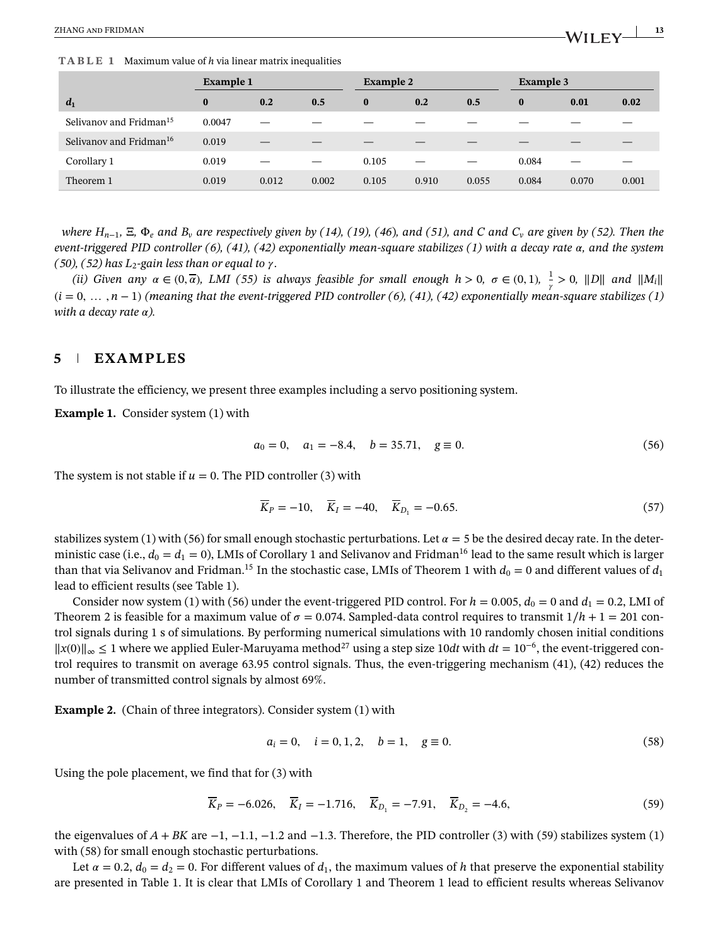**TABLE 1** Maximum value of *h* via linear matrix inequalities

|                                     | <b>Example 1</b> |       |       | <b>Example 2</b> |       |       | Example 3 |       |       |
|-------------------------------------|------------------|-------|-------|------------------|-------|-------|-----------|-------|-------|
| $d_1$                               | $\bf{0}$         | 0.2   | 0.5   | $\bf{0}$         | 0.2   | 0.5   | $\bf{0}$  | 0.01  | 0.02  |
| Selivanov and Fridman <sup>15</sup> | 0.0047           |       |       |                  |       |       |           |       |       |
| Selivanov and Fridman <sup>16</sup> | 0.019            |       |       |                  |       |       |           |       |       |
| Corollary 1                         | 0.019            |       |       | 0.105            |       |       | 0.084     |       |       |
| Theorem 1                           | 0.019            | 0.012 | 0.002 | 0.105            | 0.910 | 0.055 | 0.084     | 0.070 | 0.001 |

*where*  $H_{n-1}$ , Ξ, Φ<sub>*e*</sub> and B<sub>*v*</sub> are respectively given by (14), (19), (46), and (51), and C and C<sub>*v*</sub> are given by (52). Then the *event-triggered PID controller (6), (41), (42) exponentially mean-square stabilizes (1) with a decay rate*  $\alpha$ , and the system *(50), (52) has L*<sub>2</sub>-gain less than or equal to  $\gamma$ .

*(ii) Given any*  $\alpha \in (0, \overline{\alpha})$ *, LMI* (55) is always feasible for small enough  $h > 0$ ,  $\sigma \in (0, 1)$ ,  $\frac{1}{\gamma} > 0$ ,  $||D||$  and  $||M_i||$ (*i* = 0*,* … *, n* − 1) *(meaning that the event-triggered PID controller (6), (41), (42) exponentially mean-square stabilizes (1) with a decay rate*  $\alpha$ *).* 

# **5 EXAMPLES**

To illustrate the efficiency, we present three examples including a servo positioning system.

**Example 1.** Consider system (1) with

$$
a_0 = 0, \quad a_1 = -8.4, \quad b = 35.71, \quad g \equiv 0. \tag{56}
$$

The system is not stable if  $u = 0$ . The PID controller (3) with

$$
\overline{K}_P = -10, \quad \overline{K}_I = -40, \quad \overline{K}_{D_1} = -0.65. \tag{57}
$$

stabilizes system (1) with (56) for small enough stochastic perturbations. Let  $\alpha = 5$  be the desired decay rate. In the deterministic case (i.e.,  $d_0 = d_1 = 0$ ), LMIs of Corollary 1 and Selivanov and Fridman<sup>16</sup> lead to the same result which is larger than that via Selivanov and Fridman.<sup>15</sup> In the stochastic case, LMIs of Theorem 1 with  $d_0 = 0$  and different values of  $d_1$ lead to efficient results (see Table 1).

Consider now system (1) with (56) under the event-triggered PID control. For  $h = 0.005$ ,  $d_0 = 0$  and  $d_1 = 0.2$ , LMI of Theorem 2 is feasible for a maximum value of  $\sigma = 0.074$ . Sampled-data control requires to transmit  $1/h + 1 = 201$  control signals during 1 s of simulations. By performing numerical simulations with 10 randomly chosen initial conditions ||*x*(0)||<sup>∞</sup> ≤ 1 where we applied Euler-Maruyama method27 using a step size 10*dt* with *dt* = 10<sup>−</sup>6, the event-triggered control requires to transmit on average 63.95 control signals. Thus, the even-triggering mechanism (41), (42) reduces the number of transmitted control signals by almost 69%.

**Example 2.** (Chain of three integrators). Consider system (1) with

$$
a_i = 0, \quad i = 0, 1, 2, \quad b = 1, \quad g \equiv 0. \tag{58}
$$

Using the pole placement, we find that for (3) with

$$
\overline{K}_P = -6.026, \quad \overline{K}_I = -1.716, \quad \overline{K}_{D_1} = -7.91, \quad \overline{K}_{D_2} = -4.6,\tag{59}
$$

the eigenvalues of *A* + *BK* are −1, −1*.*1, −1*.*2 and −1*.*3. Therefore, the PID controller (3) with (59) stabilizes system (1) with (58) for small enough stochastic perturbations.

Let  $\alpha = 0.2$ ,  $d_0 = d_2 = 0$ . For different values of  $d_1$ , the maximum values of *h* that preserve the exponential stability are presented in Table 1. It is clear that LMIs of Corollary 1 and Theorem 1 lead to efficient results whereas Selivanov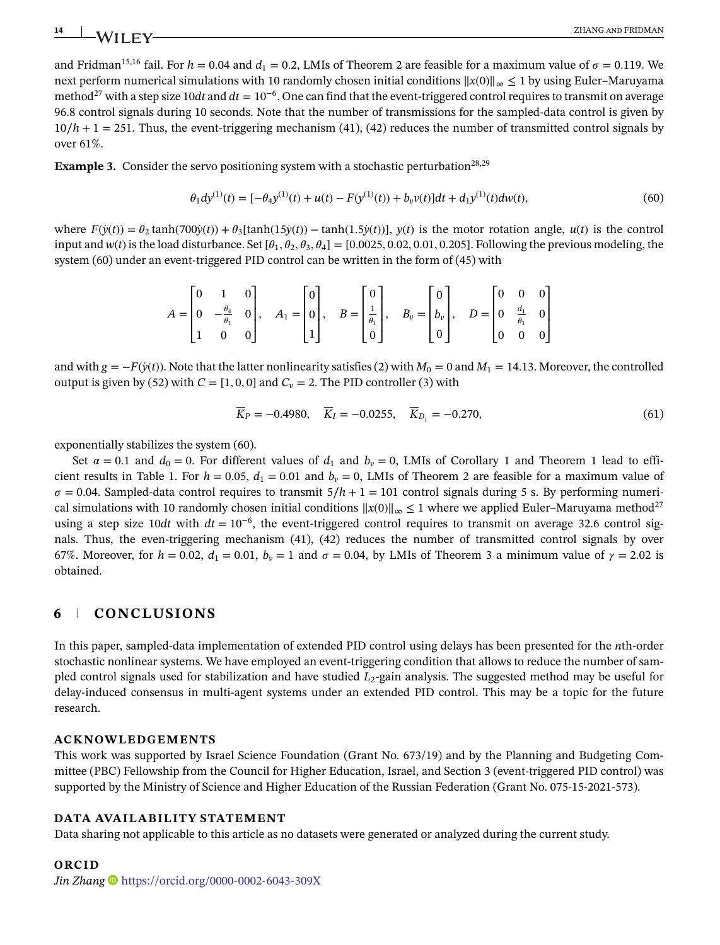and Fridman<sup>15,16</sup> fail. For  $h = 0.04$  and  $d_1 = 0.2$ , LMIs of Theorem 2 are feasible for a maximum value of  $\sigma = 0.119$ . We next perform numerical simulations with 10 randomly chosen initial conditions ||*x*(0)||<sup>∞</sup> ≤ 1 by using Euler–Maruyama method<sup>27</sup> with a step size 10*dt* and  $dt = 10^{-6}$ . One can find that the event-triggered control requires to transmit on average 96.8 control signals during 10 seconds. Note that the number of transmissions for the sampled-data control is given by 10∕*h* + 1 = 251. Thus, the event-triggering mechanism (41), (42) reduces the number of transmitted control signals by over 61%.

**Example 3.** Consider the servo positioning system with a stochastic perturbation<sup>28,29</sup>

$$
\theta_1 dy^{(1)}(t) = [-\theta_4 y^{(1)}(t) + u(t) - F(y^{(1)}(t)) + b_v v(t)]dt + d_1 y^{(1)}(t)dw(t),
$$
\n(60)

where  $F(\dot{y}(t)) = \theta_2 \tanh(700\dot{y}(t)) + \theta_3[\tanh(15\dot{y}(t)) - \tanh(1.5\dot{y}(t))], y(t)$  is the motor rotation angle,  $u(t)$  is the control input and  $w(t)$  is the load disturbance. Set  $[\theta_1, \theta_2, \theta_3, \theta_4] = [0.0025, 0.02, 0.01, 0.205]$ . Following the previous modeling, the system (60) under an event-triggered PID control can be written in the form of (45) with

$$
A = \begin{bmatrix} 0 & 1 & 0 \\ 0 & -\frac{\theta_4}{\theta_1} & 0 \\ 1 & 0 & 0 \end{bmatrix}, \quad A_1 = \begin{bmatrix} 0 \\ 0 \\ 1 \end{bmatrix}, \quad B = \begin{bmatrix} 0 \\ \frac{1}{\theta_1} \\ 0 \end{bmatrix}, \quad B_\nu = \begin{bmatrix} 0 \\ b_\nu \\ 0 \end{bmatrix}, \quad D = \begin{bmatrix} 0 & 0 & 0 \\ 0 & \frac{d_1}{\theta_1} & 0 \\ 0 & 0 & 0 \end{bmatrix}
$$

and with  $g = -F(y(t))$ . Note that the latter nonlinearity satisfies (2) with  $M_0 = 0$  and  $M_1 = 14.13$ . Moreover, the controlled output is given by (52) with  $C = [1, 0, 0]$  and  $C_v = 2$ . The PID controller (3) with

$$
\overline{K}_P = -0.4980, \quad \overline{K}_I = -0.0255, \quad \overline{K}_{D_1} = -0.270,\tag{61}
$$

exponentially stabilizes the system (60).

Set  $\alpha = 0.1$  and  $d_0 = 0$ . For different values of  $d_1$  and  $b_v = 0$ , LMIs of Corollary 1 and Theorem 1 lead to efficient results in Table 1. For  $h = 0.05$ ,  $d_1 = 0.01$  and  $b_v = 0$ , LMIs of Theorem 2 are feasible for a maximum value of  $\sigma = 0.04$ . Sampled-data control requires to transmit  $5/h + 1 = 101$  control signals during 5 s. By performing numerical simulations with 10 randomly chosen initial conditions  $||x(0)||_{\infty} \le 1$  where we applied Euler–Maruyama method<sup>27</sup> using a step size 10*dt* with  $dt = 10^{-6}$ , the event-triggered control requires to transmit on average 32.6 control signals. Thus, the even-triggering mechanism (41), (42) reduces the number of transmitted control signals by over 67%. Moreover, for  $h = 0.02$ ,  $d_1 = 0.01$ ,  $b_v = 1$  and  $\sigma = 0.04$ , by LMIs of Theorem 3 a minimum value of  $\gamma = 2.02$  is obtained.

# **6 CONCLUSIONS**

In this paper, sampled-data implementation of extended PID control using delays has been presented for the *n*th-order stochastic nonlinear systems. We have employed an event-triggering condition that allows to reduce the number of sampled control signals used for stabilization and have studied *L*2-gain analysis. The suggested method may be useful for delay-induced consensus in multi-agent systems under an extended PID control. This may be a topic for the future research.

## **ACKNOWLEDGEMENTS**

This work was supported by Israel Science Foundation (Grant No. 673/19) and by the Planning and Budgeting Committee (PBC) Fellowship from the Council for Higher Education, Israel, and Section 3 (event-triggered PID control) was supported by the Ministry of Science and Higher Education of the Russian Federation (Grant No. 075-15-2021-573).

# **DATA AVAILABILITY STATEMENT**

Data sharing not applicable to this article as no datasets were generated or analyzed during the current study.

## **ORCID**

*Jin Zhang* <https://orcid.org/0000-0002-6043-309X>